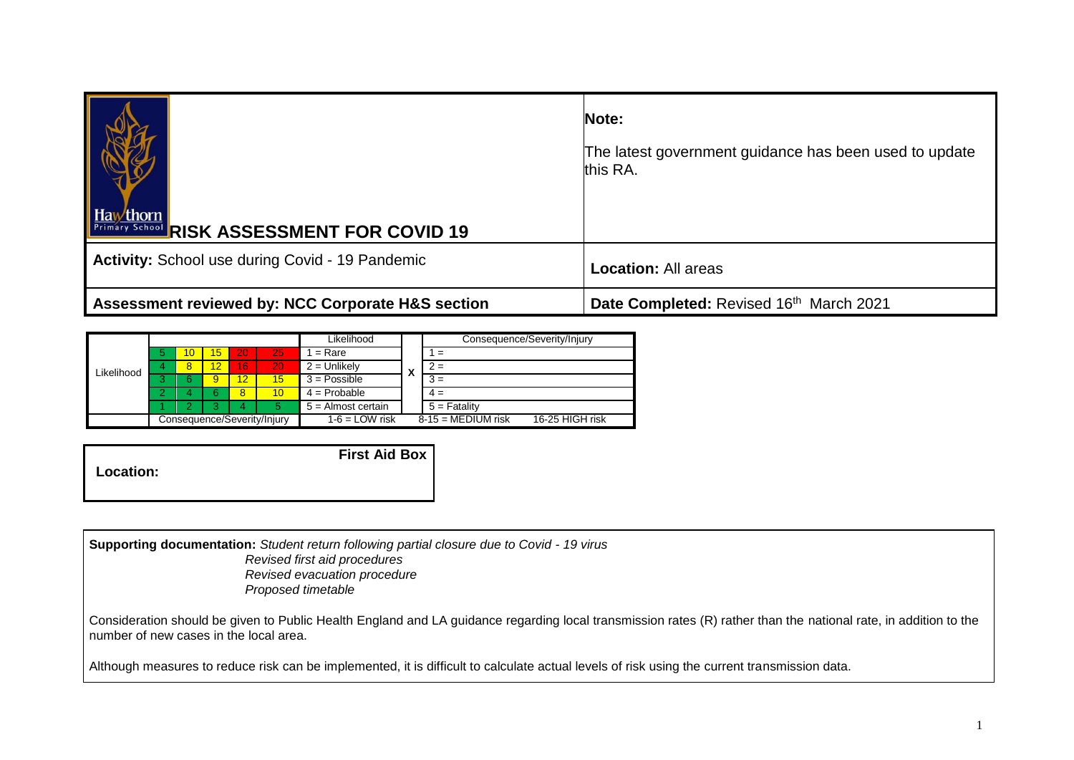| Hawthorn RISK ASSESSMENT FOR COVID 19             | Note:<br>The latest government guidance has been used to update<br>this RA. |
|---------------------------------------------------|-----------------------------------------------------------------------------|
| Activity: School use during Covid - 19 Pandemic   | <b>Location: All areas</b>                                                  |
| Assessment reviewed by: NCC Corporate H&S section | Date Completed: Revised 16th March 2021                                     |

|            |   |    |    |    |                             | Likelihood           |   | Consequence/Severity/Injury             |
|------------|---|----|----|----|-----------------------------|----------------------|---|-----------------------------------------|
|            |   | 10 | 15 | 20 | I251                        | $=$ Rare             |   | $\equiv$                                |
| Likelihood | 4 | 8  | 12 | 16 | 20                          | $2 =$ Unlikely       | X | $2 =$                                   |
|            |   | 6  | 9  | 12 | 15                          | $3 = Possible$       |   | $3 =$                                   |
|            |   |    |    | 8  | 10                          | $4 =$ Probable       |   | $4 =$                                   |
|            |   |    |    |    | 5                           | $5 =$ Almost certain |   | $5 =$ Fatality                          |
|            |   |    |    |    | Consequence/Severity/Injury | $1-6 =$ LOW risk     |   | $8-15 = MEDIUM$ risk<br>16-25 HIGH risk |

|                  | <b>First Aid Box</b> |
|------------------|----------------------|
| <b>Location:</b> |                      |
|                  |                      |

**Supporting documentation:** *Student return following partial closure due to Covid - 19 virus Revised first aid procedures Revised evacuation procedure Proposed timetable*

Consideration should be given to Public Health England and LA guidance regarding local transmission rates (R) rather than the national rate, in addition to the number of new cases in the local area.

Although measures to reduce risk can be implemented, it is difficult to calculate actual levels of risk using the current transmission data.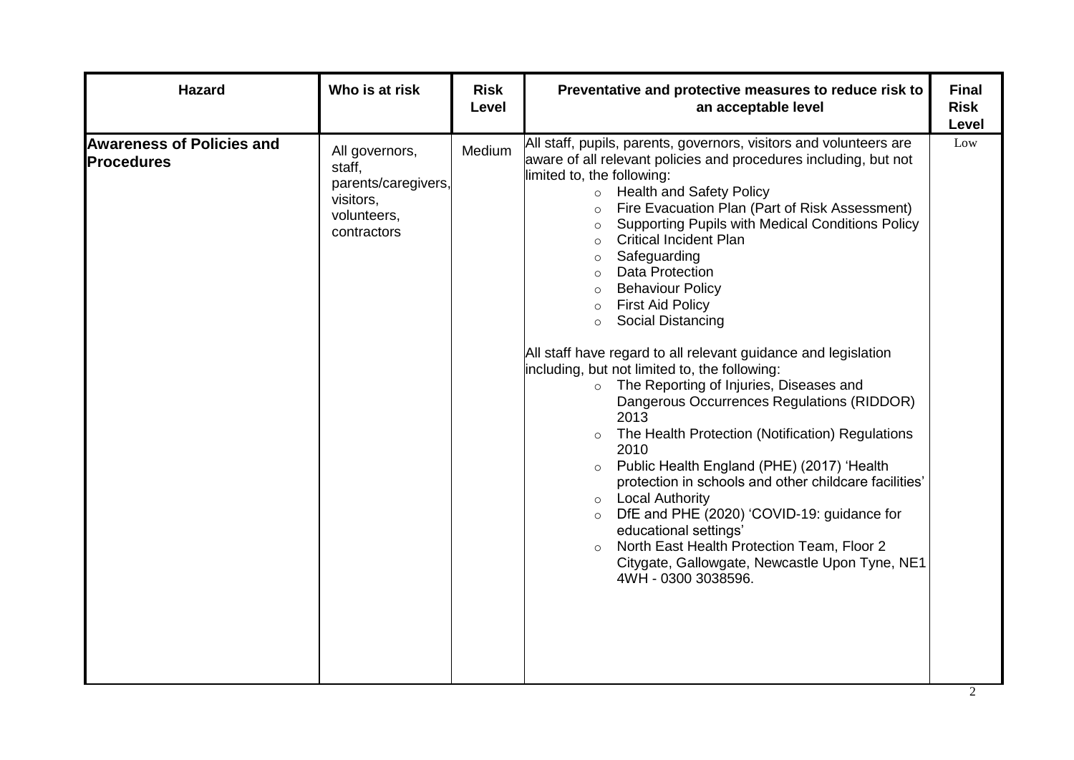| <b>Hazard</b>                                         | Who is at risk                                                                             | <b>Risk</b><br>Level | Preventative and protective measures to reduce risk to<br>an acceptable level                                                                                                                                                                                                                                                                                                                                                                                                                                                                                                                                                                                                                                                                                                                                                                                                                                                                                                                                                                                                                                                                                                        | <b>Final</b><br><b>Risk</b><br>Level |
|-------------------------------------------------------|--------------------------------------------------------------------------------------------|----------------------|--------------------------------------------------------------------------------------------------------------------------------------------------------------------------------------------------------------------------------------------------------------------------------------------------------------------------------------------------------------------------------------------------------------------------------------------------------------------------------------------------------------------------------------------------------------------------------------------------------------------------------------------------------------------------------------------------------------------------------------------------------------------------------------------------------------------------------------------------------------------------------------------------------------------------------------------------------------------------------------------------------------------------------------------------------------------------------------------------------------------------------------------------------------------------------------|--------------------------------------|
| <b>Awareness of Policies and</b><br><b>Procedures</b> | All governors,<br>staff,<br>parents/caregivers,<br>visitors,<br>volunteers,<br>contractors | Medium               | All staff, pupils, parents, governors, visitors and volunteers are<br>aware of all relevant policies and procedures including, but not<br>limited to, the following:<br><b>Health and Safety Policy</b><br>$\circ$<br>Fire Evacuation Plan (Part of Risk Assessment)<br>$\circ$<br>Supporting Pupils with Medical Conditions Policy<br>$\circ$<br><b>Critical Incident Plan</b><br>$\circ$<br>Safeguarding<br><b>Data Protection</b><br>$\circ$<br><b>Behaviour Policy</b><br>$\circ$<br><b>First Aid Policy</b><br>$\circ$<br><b>Social Distancing</b><br>$\circ$<br>All staff have regard to all relevant guidance and legislation<br>including, but not limited to, the following:<br>o The Reporting of Injuries, Diseases and<br>Dangerous Occurrences Regulations (RIDDOR)<br>2013<br>The Health Protection (Notification) Regulations<br>2010<br>Public Health England (PHE) (2017) 'Health<br>protection in schools and other childcare facilities'<br>$\circ$ Local Authority<br>DfE and PHE (2020) 'COVID-19: guidance for<br>educational settings'<br>North East Health Protection Team, Floor 2<br>Citygate, Gallowgate, Newcastle Upon Tyne, NE1<br>4WH - 0300 3038596. | Low                                  |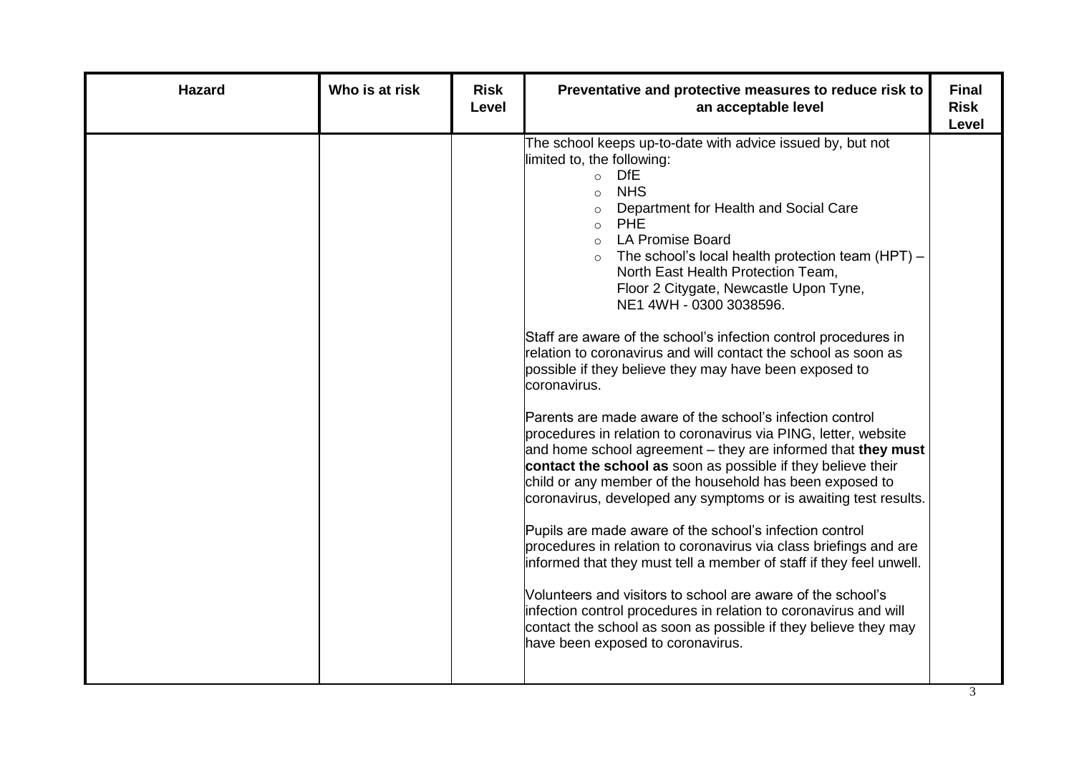| <b>Hazard</b> | Who is at risk | <b>Risk</b><br>Level | Preventative and protective measures to reduce risk to<br>an acceptable level                                                                                                                                                                                                                                                                                                                                                                                                                                                                                                                                                                                                                                                                                                                                                                                                                                                                                                                                                                                                                                                                                                                                                                                                                                                                                                                                                                    | <b>Final</b><br><b>Risk</b><br>Level |
|---------------|----------------|----------------------|--------------------------------------------------------------------------------------------------------------------------------------------------------------------------------------------------------------------------------------------------------------------------------------------------------------------------------------------------------------------------------------------------------------------------------------------------------------------------------------------------------------------------------------------------------------------------------------------------------------------------------------------------------------------------------------------------------------------------------------------------------------------------------------------------------------------------------------------------------------------------------------------------------------------------------------------------------------------------------------------------------------------------------------------------------------------------------------------------------------------------------------------------------------------------------------------------------------------------------------------------------------------------------------------------------------------------------------------------------------------------------------------------------------------------------------------------|--------------------------------------|
|               |                |                      | The school keeps up-to-date with advice issued by, but not<br>limited to, the following:<br>$\circ$ DfE<br><b>NHS</b><br>$\circ$<br>Department for Health and Social Care<br>o PHE<br>o LA Promise Board<br>$\circ$ The school's local health protection team (HPT) –<br>North East Health Protection Team,<br>Floor 2 Citygate, Newcastle Upon Tyne,<br>NE1 4WH - 0300 3038596.<br>Staff are aware of the school's infection control procedures in<br>relation to coronavirus and will contact the school as soon as<br>possible if they believe they may have been exposed to<br>coronavirus.<br>Parents are made aware of the school's infection control<br>procedures in relation to coronavirus via PING, letter, website<br>and home school agreement – they are informed that they must<br>contact the school as soon as possible if they believe their<br>child or any member of the household has been exposed to<br>coronavirus, developed any symptoms or is awaiting test results.<br>Pupils are made aware of the school's infection control<br>procedures in relation to coronavirus via class briefings and are<br>informed that they must tell a member of staff if they feel unwell.<br>Volunteers and visitors to school are aware of the school's<br>infection control procedures in relation to coronavirus and will<br>contact the school as soon as possible if they believe they may<br>have been exposed to coronavirus. |                                      |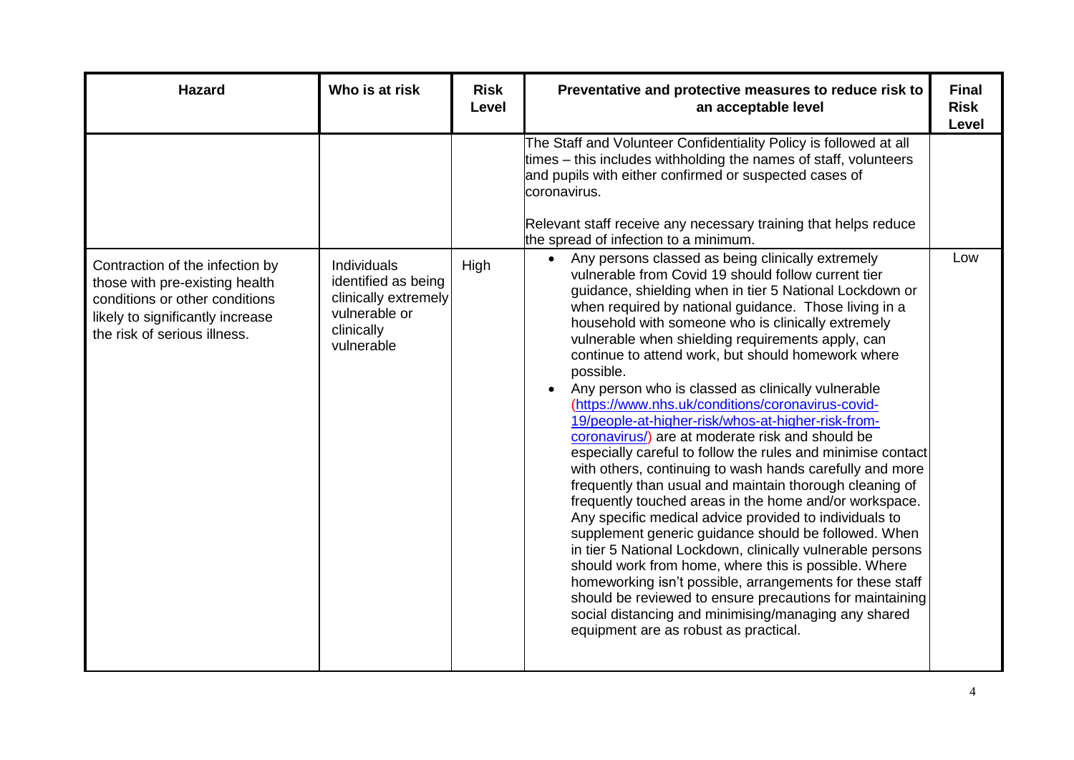| <b>Hazard</b>                                                                                                                                                           | Who is at risk                                                                                          | <b>Risk</b><br>Level | Preventative and protective measures to reduce risk to<br>an acceptable level                                                                                                                                                                                                                                                                                                                                                                                                                                                                                                                                                                                                                                                                                                                                                                                                                                                                                                                                                                                                                                                                                                                                                                                                                                                                                   | <b>Final</b><br><b>Risk</b><br>Level |
|-------------------------------------------------------------------------------------------------------------------------------------------------------------------------|---------------------------------------------------------------------------------------------------------|----------------------|-----------------------------------------------------------------------------------------------------------------------------------------------------------------------------------------------------------------------------------------------------------------------------------------------------------------------------------------------------------------------------------------------------------------------------------------------------------------------------------------------------------------------------------------------------------------------------------------------------------------------------------------------------------------------------------------------------------------------------------------------------------------------------------------------------------------------------------------------------------------------------------------------------------------------------------------------------------------------------------------------------------------------------------------------------------------------------------------------------------------------------------------------------------------------------------------------------------------------------------------------------------------------------------------------------------------------------------------------------------------|--------------------------------------|
|                                                                                                                                                                         |                                                                                                         |                      | The Staff and Volunteer Confidentiality Policy is followed at all<br>times – this includes withholding the names of staff, volunteers<br>and pupils with either confirmed or suspected cases of<br>coronavirus.<br>Relevant staff receive any necessary training that helps reduce<br>the spread of infection to a minimum.                                                                                                                                                                                                                                                                                                                                                                                                                                                                                                                                                                                                                                                                                                                                                                                                                                                                                                                                                                                                                                     |                                      |
| Contraction of the infection by<br>those with pre-existing health<br>conditions or other conditions<br>likely to significantly increase<br>the risk of serious illness. | Individuals<br>identified as being<br>clinically extremely<br>vulnerable or<br>clinically<br>vulnerable | High                 | • Any persons classed as being clinically extremely<br>vulnerable from Covid 19 should follow current tier<br>guidance, shielding when in tier 5 National Lockdown or<br>when required by national guidance. Those living in a<br>household with someone who is clinically extremely<br>vulnerable when shielding requirements apply, can<br>continue to attend work, but should homework where<br>possible.<br>Any person who is classed as clinically vulnerable<br>$\bullet$<br>(https://www.nhs.uk/conditions/coronavirus-covid-<br>19/people-at-higher-risk/whos-at-higher-risk-from-<br>coronavirus/) are at moderate risk and should be<br>especially careful to follow the rules and minimise contact<br>with others, continuing to wash hands carefully and more<br>frequently than usual and maintain thorough cleaning of<br>frequently touched areas in the home and/or workspace.<br>Any specific medical advice provided to individuals to<br>supplement generic guidance should be followed. When<br>in tier 5 National Lockdown, clinically vulnerable persons<br>should work from home, where this is possible. Where<br>homeworking isn't possible, arrangements for these staff<br>should be reviewed to ensure precautions for maintaining<br>social distancing and minimising/managing any shared<br>equipment are as robust as practical. | Low                                  |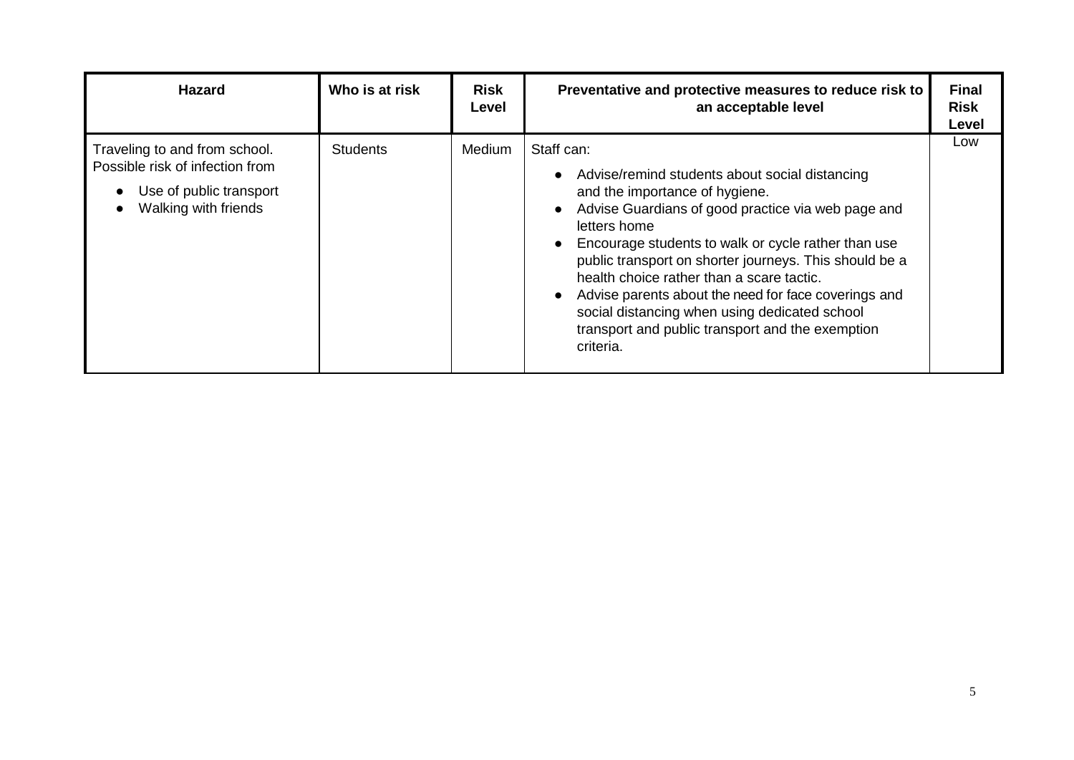| <b>Hazard</b>                                                                                                       | Who is at risk  | <b>Risk</b><br>Level | Preventative and protective measures to reduce risk to<br>an acceptable level                                                                                                                                                                                                                                                                                                                                                                                                                                | <b>Final</b><br><b>Risk</b><br>Level |
|---------------------------------------------------------------------------------------------------------------------|-----------------|----------------------|--------------------------------------------------------------------------------------------------------------------------------------------------------------------------------------------------------------------------------------------------------------------------------------------------------------------------------------------------------------------------------------------------------------------------------------------------------------------------------------------------------------|--------------------------------------|
| Traveling to and from school.<br>Possible risk of infection from<br>Use of public transport<br>Walking with friends | <b>Students</b> | Medium               | Staff can:<br>Advise/remind students about social distancing<br>and the importance of hygiene.<br>Advise Guardians of good practice via web page and<br>letters home<br>Encourage students to walk or cycle rather than use<br>public transport on shorter journeys. This should be a<br>health choice rather than a scare tactic.<br>Advise parents about the need for face coverings and<br>social distancing when using dedicated school<br>transport and public transport and the exemption<br>criteria. | Low                                  |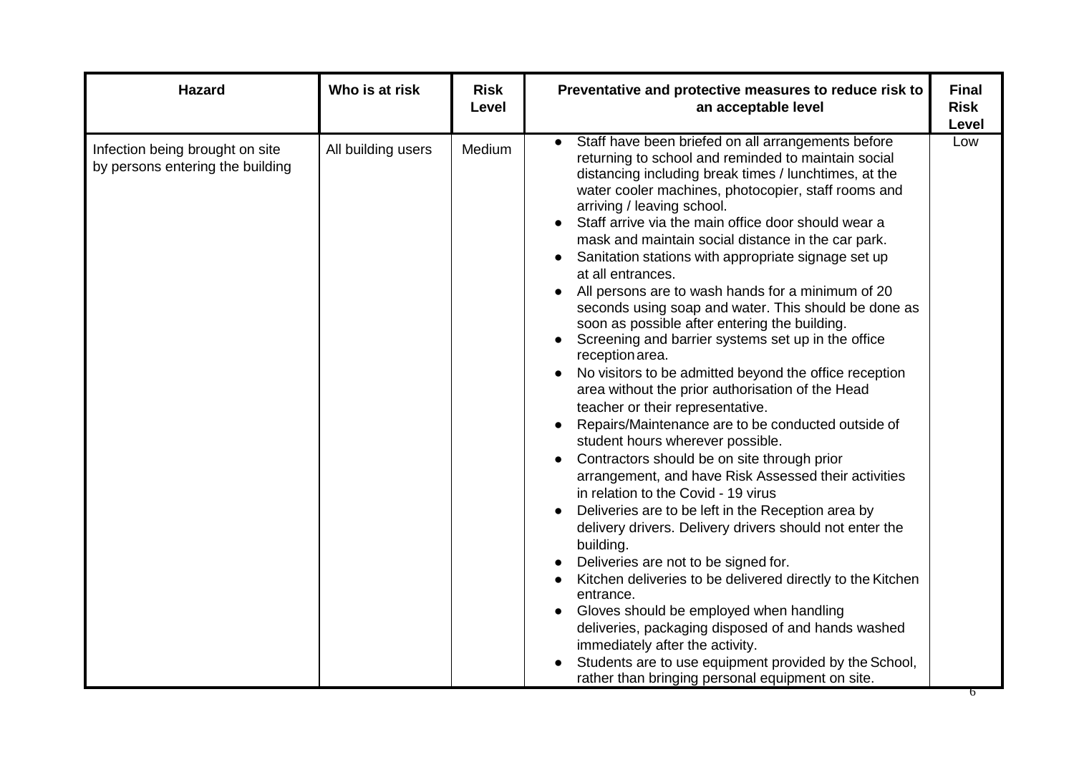| <b>Hazard</b>                                                       | Who is at risk     | <b>Risk</b><br>Level | Preventative and protective measures to reduce risk to<br>an acceptable level                                                                                                                                                                                                                                                                                                                                                                                                                                                                                                                                                                                                                                                                                                                                                                                                                                                                                                                                                                                                                                                                                                                                                                                                                                                                                                                                                                                                                                                                                                       | <b>Final</b><br><b>Risk</b><br>Level |
|---------------------------------------------------------------------|--------------------|----------------------|-------------------------------------------------------------------------------------------------------------------------------------------------------------------------------------------------------------------------------------------------------------------------------------------------------------------------------------------------------------------------------------------------------------------------------------------------------------------------------------------------------------------------------------------------------------------------------------------------------------------------------------------------------------------------------------------------------------------------------------------------------------------------------------------------------------------------------------------------------------------------------------------------------------------------------------------------------------------------------------------------------------------------------------------------------------------------------------------------------------------------------------------------------------------------------------------------------------------------------------------------------------------------------------------------------------------------------------------------------------------------------------------------------------------------------------------------------------------------------------------------------------------------------------------------------------------------------------|--------------------------------------|
| Infection being brought on site<br>by persons entering the building | All building users | Medium               | Staff have been briefed on all arrangements before<br>returning to school and reminded to maintain social<br>distancing including break times / lunchtimes, at the<br>water cooler machines, photocopier, staff rooms and<br>arriving / leaving school.<br>Staff arrive via the main office door should wear a<br>mask and maintain social distance in the car park.<br>Sanitation stations with appropriate signage set up<br>at all entrances.<br>All persons are to wash hands for a minimum of 20<br>seconds using soap and water. This should be done as<br>soon as possible after entering the building.<br>Screening and barrier systems set up in the office<br>reception area.<br>No visitors to be admitted beyond the office reception<br>area without the prior authorisation of the Head<br>teacher or their representative.<br>Repairs/Maintenance are to be conducted outside of<br>student hours wherever possible.<br>Contractors should be on site through prior<br>arrangement, and have Risk Assessed their activities<br>in relation to the Covid - 19 virus<br>Deliveries are to be left in the Reception area by<br>delivery drivers. Delivery drivers should not enter the<br>building.<br>Deliveries are not to be signed for.<br>Kitchen deliveries to be delivered directly to the Kitchen<br>entrance.<br>Gloves should be employed when handling<br>deliveries, packaging disposed of and hands washed<br>immediately after the activity.<br>Students are to use equipment provided by the School,<br>rather than bringing personal equipment on site. | Low                                  |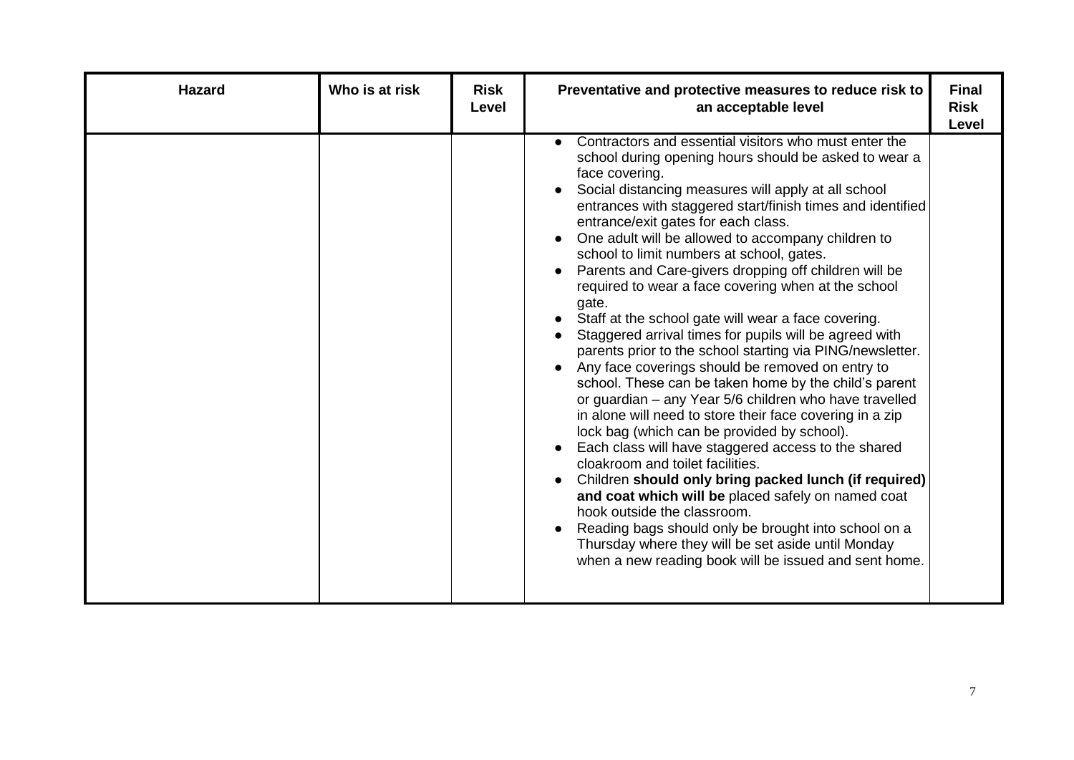| <b>Hazard</b> | Who is at risk | <b>Risk</b><br>Level | Preventative and protective measures to reduce risk to<br>an acceptable level                                                                                                                                                                                                                                                                                                                                                                                                                                                                                                                                                                                                                                                                                                                                                                                                                                                                                                                                                                                                                                                                                                                                                                                                                                                                                                                                         | <b>Final</b><br><b>Risk</b><br>Level |
|---------------|----------------|----------------------|-----------------------------------------------------------------------------------------------------------------------------------------------------------------------------------------------------------------------------------------------------------------------------------------------------------------------------------------------------------------------------------------------------------------------------------------------------------------------------------------------------------------------------------------------------------------------------------------------------------------------------------------------------------------------------------------------------------------------------------------------------------------------------------------------------------------------------------------------------------------------------------------------------------------------------------------------------------------------------------------------------------------------------------------------------------------------------------------------------------------------------------------------------------------------------------------------------------------------------------------------------------------------------------------------------------------------------------------------------------------------------------------------------------------------|--------------------------------------|
|               |                |                      | Contractors and essential visitors who must enter the<br>school during opening hours should be asked to wear a<br>face covering.<br>Social distancing measures will apply at all school<br>entrances with staggered start/finish times and identified<br>entrance/exit gates for each class.<br>One adult will be allowed to accompany children to<br>school to limit numbers at school, gates.<br>Parents and Care-givers dropping off children will be<br>required to wear a face covering when at the school<br>gate.<br>Staff at the school gate will wear a face covering.<br>Staggered arrival times for pupils will be agreed with<br>parents prior to the school starting via PING/newsletter.<br>Any face coverings should be removed on entry to<br>$\bullet$<br>school. These can be taken home by the child's parent<br>or guardian - any Year 5/6 children who have travelled<br>in alone will need to store their face covering in a zip<br>lock bag (which can be provided by school).<br>Each class will have staggered access to the shared<br>cloakroom and toilet facilities.<br>Children should only bring packed lunch (if required)<br>and coat which will be placed safely on named coat<br>hook outside the classroom.<br>Reading bags should only be brought into school on a<br>Thursday where they will be set aside until Monday<br>when a new reading book will be issued and sent home. |                                      |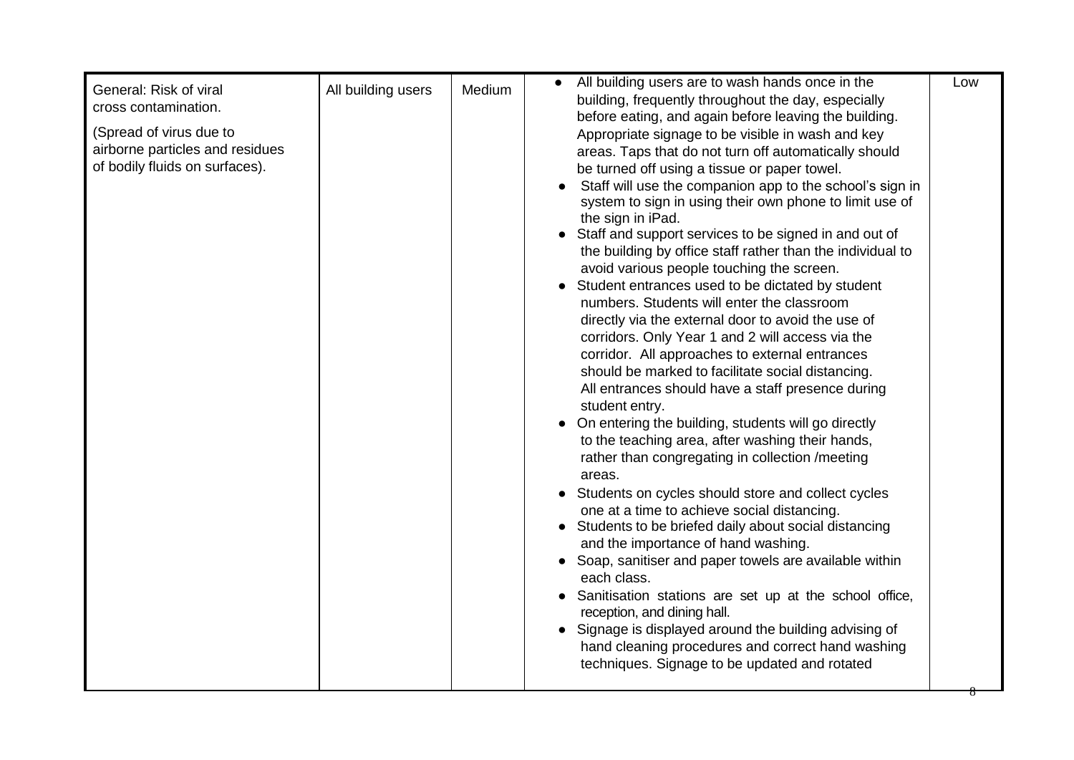| airborne particles and residues<br>areas. Taps that do not turn off automatically should<br>of bodily fluids on surfaces).<br>be turned off using a tissue or paper towel.<br>Staff will use the companion app to the school's sign in<br>system to sign in using their own phone to limit use of<br>the sign in iPad.<br>Staff and support services to be signed in and out of<br>the building by office staff rather than the individual to<br>avoid various people touching the screen.<br>Student entrances used to be dictated by student<br>numbers. Students will enter the classroom<br>directly via the external door to avoid the use of<br>corridors. Only Year 1 and 2 will access via the<br>corridor. All approaches to external entrances<br>should be marked to facilitate social distancing.<br>All entrances should have a staff presence during<br>student entry.<br>On entering the building, students will go directly<br>$\bullet$<br>to the teaching area, after washing their hands,<br>rather than congregating in collection /meeting<br>areas.<br>Students on cycles should store and collect cycles<br>one at a time to achieve social distancing.<br>• Students to be briefed daily about social distancing<br>and the importance of hand washing.<br>• Soap, sanitiser and paper towels are available within<br>each class.<br>• Sanitisation stations are set up at the school office,<br>reception, and dining hall.<br>Signage is displayed around the building advising of<br>$\bullet$<br>hand cleaning procedures and correct hand washing<br>techniques. Signage to be updated and rotated | General: Risk of viral<br>cross contamination.<br>(Spread of virus due to | All building users<br>Medium | All building users are to wash hands once in the<br>building, frequently throughout the day, especially<br>before eating, and again before leaving the building.<br>Appropriate signage to be visible in wash and key | Low |
|---------------------------------------------------------------------------------------------------------------------------------------------------------------------------------------------------------------------------------------------------------------------------------------------------------------------------------------------------------------------------------------------------------------------------------------------------------------------------------------------------------------------------------------------------------------------------------------------------------------------------------------------------------------------------------------------------------------------------------------------------------------------------------------------------------------------------------------------------------------------------------------------------------------------------------------------------------------------------------------------------------------------------------------------------------------------------------------------------------------------------------------------------------------------------------------------------------------------------------------------------------------------------------------------------------------------------------------------------------------------------------------------------------------------------------------------------------------------------------------------------------------------------------------------------------------------------------------------------------------------------------|---------------------------------------------------------------------------|------------------------------|-----------------------------------------------------------------------------------------------------------------------------------------------------------------------------------------------------------------------|-----|
|---------------------------------------------------------------------------------------------------------------------------------------------------------------------------------------------------------------------------------------------------------------------------------------------------------------------------------------------------------------------------------------------------------------------------------------------------------------------------------------------------------------------------------------------------------------------------------------------------------------------------------------------------------------------------------------------------------------------------------------------------------------------------------------------------------------------------------------------------------------------------------------------------------------------------------------------------------------------------------------------------------------------------------------------------------------------------------------------------------------------------------------------------------------------------------------------------------------------------------------------------------------------------------------------------------------------------------------------------------------------------------------------------------------------------------------------------------------------------------------------------------------------------------------------------------------------------------------------------------------------------------|---------------------------------------------------------------------------|------------------------------|-----------------------------------------------------------------------------------------------------------------------------------------------------------------------------------------------------------------------|-----|

8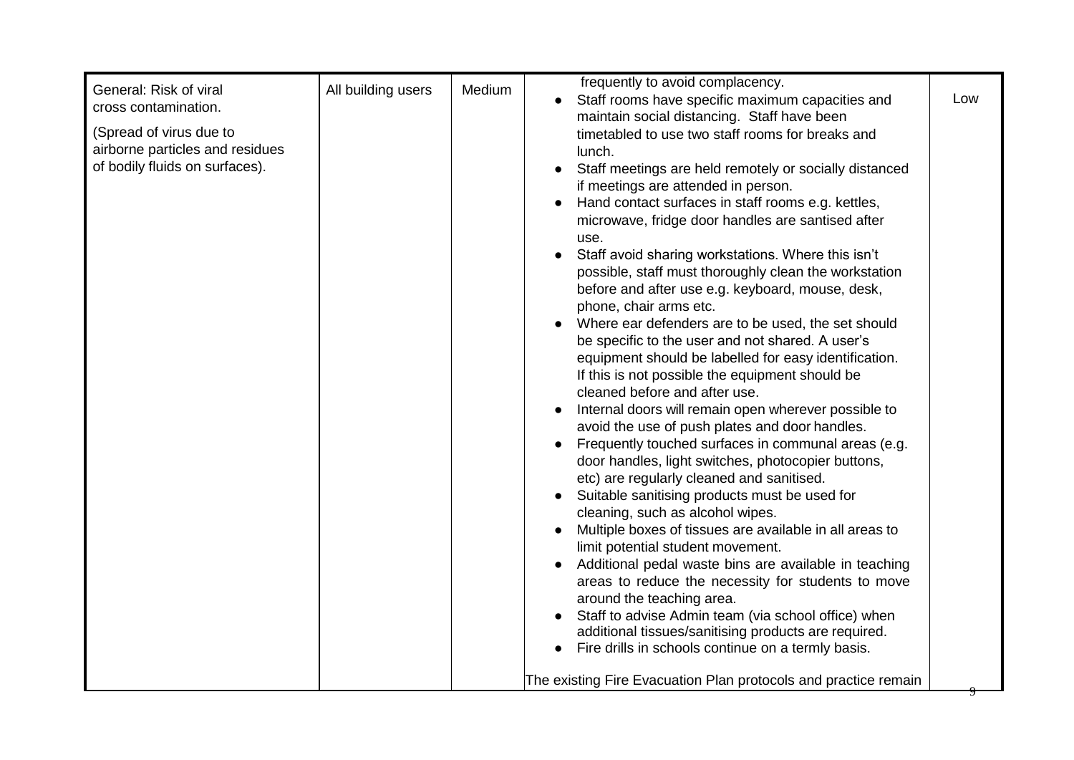| General: Risk of viral<br>cross contamination.<br>(Spread of virus due to<br>airborne particles and residues<br>of bodily fluids on surfaces). | All building users | Medium | frequently to avoid complacency.<br>Staff rooms have specific maximum capacities and<br>maintain social distancing. Staff have been<br>timetabled to use two staff rooms for breaks and<br>lunch.<br>Staff meetings are held remotely or socially distanced<br>$\bullet$<br>if meetings are attended in person.<br>Hand contact surfaces in staff rooms e.g. kettles,<br>microwave, fridge door handles are santised after<br>use.<br>Staff avoid sharing workstations. Where this isn't                                                                                                                                                                                                                                                                                                                                                                                                                                                                                                                                                                                                                                                                                                                                                | Low |
|------------------------------------------------------------------------------------------------------------------------------------------------|--------------------|--------|-----------------------------------------------------------------------------------------------------------------------------------------------------------------------------------------------------------------------------------------------------------------------------------------------------------------------------------------------------------------------------------------------------------------------------------------------------------------------------------------------------------------------------------------------------------------------------------------------------------------------------------------------------------------------------------------------------------------------------------------------------------------------------------------------------------------------------------------------------------------------------------------------------------------------------------------------------------------------------------------------------------------------------------------------------------------------------------------------------------------------------------------------------------------------------------------------------------------------------------------|-----|
|                                                                                                                                                |                    |        | possible, staff must thoroughly clean the workstation<br>before and after use e.g. keyboard, mouse, desk,<br>phone, chair arms etc.<br>Where ear defenders are to be used, the set should<br>be specific to the user and not shared. A user's<br>equipment should be labelled for easy identification.<br>If this is not possible the equipment should be<br>cleaned before and after use.<br>Internal doors will remain open wherever possible to<br>avoid the use of push plates and door handles.<br>Frequently touched surfaces in communal areas (e.g.<br>door handles, light switches, photocopier buttons,<br>etc) are regularly cleaned and sanitised.<br>Suitable sanitising products must be used for<br>cleaning, such as alcohol wipes.<br>Multiple boxes of tissues are available in all areas to<br>limit potential student movement.<br>Additional pedal waste bins are available in teaching<br>areas to reduce the necessity for students to move<br>around the teaching area.<br>Staff to advise Admin team (via school office) when<br>additional tissues/sanitising products are required.<br>Fire drills in schools continue on a termly basis.<br>The existing Fire Evacuation Plan protocols and practice remain |     |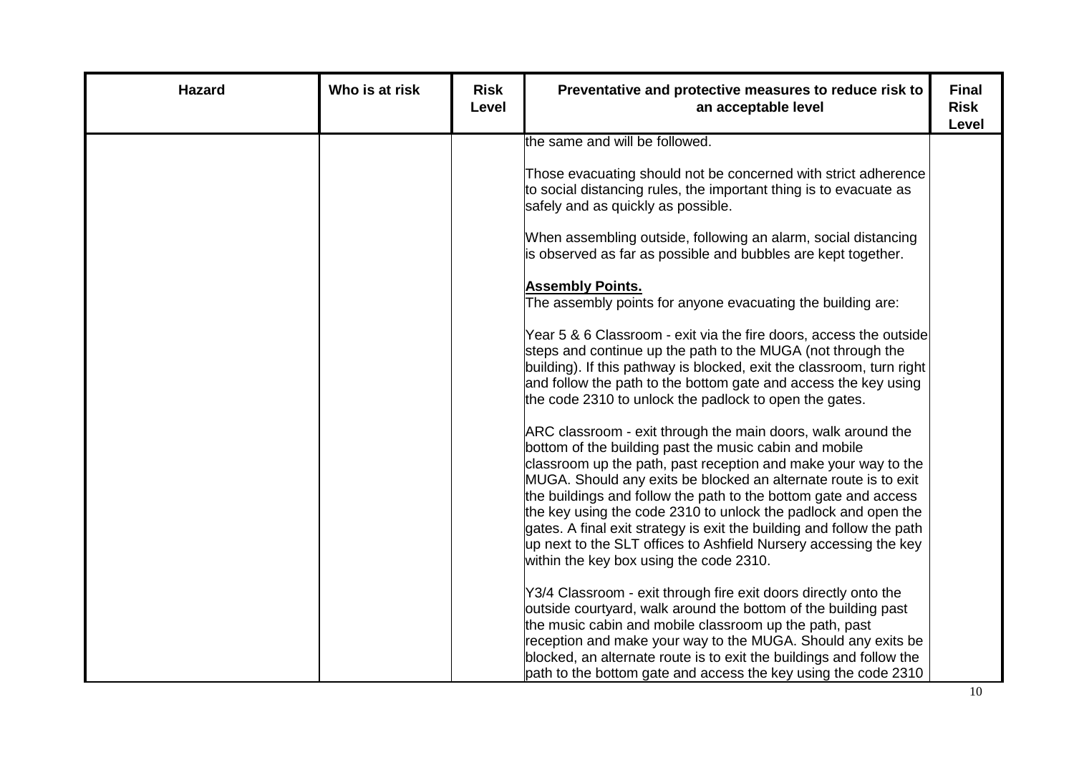| <b>Hazard</b> | Who is at risk | <b>Risk</b><br>Level | Preventative and protective measures to reduce risk to<br>an acceptable level                                                                                                                                                                                                                                                                                                                                                                                                                                                                                                            | <b>Final</b><br><b>Risk</b><br>Level |
|---------------|----------------|----------------------|------------------------------------------------------------------------------------------------------------------------------------------------------------------------------------------------------------------------------------------------------------------------------------------------------------------------------------------------------------------------------------------------------------------------------------------------------------------------------------------------------------------------------------------------------------------------------------------|--------------------------------------|
|               |                |                      | the same and will be followed.                                                                                                                                                                                                                                                                                                                                                                                                                                                                                                                                                           |                                      |
|               |                |                      | Those evacuating should not be concerned with strict adherence<br>to social distancing rules, the important thing is to evacuate as<br>safely and as quickly as possible.                                                                                                                                                                                                                                                                                                                                                                                                                |                                      |
|               |                |                      | When assembling outside, following an alarm, social distancing<br>is observed as far as possible and bubbles are kept together.                                                                                                                                                                                                                                                                                                                                                                                                                                                          |                                      |
|               |                |                      | <b>Assembly Points.</b><br>The assembly points for anyone evacuating the building are:                                                                                                                                                                                                                                                                                                                                                                                                                                                                                                   |                                      |
|               |                |                      | Year 5 & 6 Classroom - exit via the fire doors, access the outside<br>steps and continue up the path to the MUGA (not through the<br>building). If this pathway is blocked, exit the classroom, turn right<br>and follow the path to the bottom gate and access the key using<br>the code 2310 to unlock the padlock to open the gates.                                                                                                                                                                                                                                                  |                                      |
|               |                |                      | ARC classroom - exit through the main doors, walk around the<br>bottom of the building past the music cabin and mobile<br>classroom up the path, past reception and make your way to the<br>MUGA. Should any exits be blocked an alternate route is to exit<br>the buildings and follow the path to the bottom gate and access<br>the key using the code 2310 to unlock the padlock and open the<br>gates. A final exit strategy is exit the building and follow the path<br>up next to the SLT offices to Ashfield Nursery accessing the key<br>within the key box using the code 2310. |                                      |
|               |                |                      | Y3/4 Classroom - exit through fire exit doors directly onto the<br>outside courtyard, walk around the bottom of the building past<br>the music cabin and mobile classroom up the path, past<br>reception and make your way to the MUGA. Should any exits be<br>blocked, an alternate route is to exit the buildings and follow the<br>path to the bottom gate and access the key using the code 2310                                                                                                                                                                                     |                                      |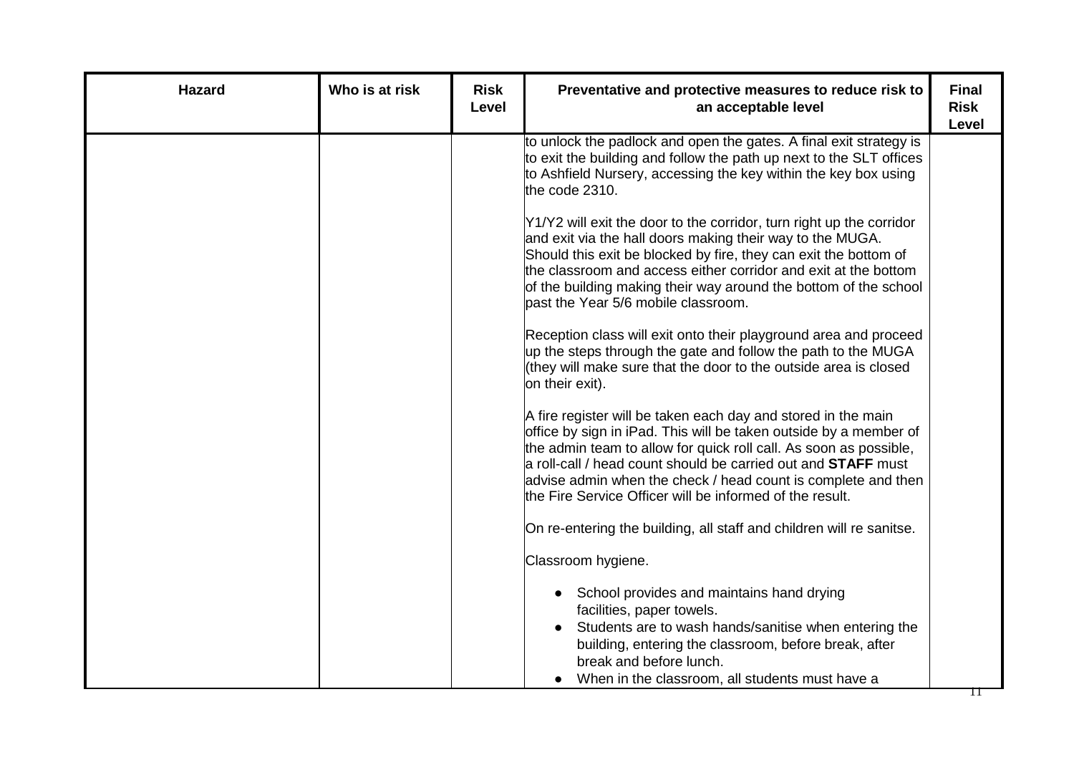| <b>Hazard</b> | Who is at risk | <b>Risk</b><br>Level | Preventative and protective measures to reduce risk to<br>an acceptable level                                                                                                                                                                                                                                                                                                                                | <b>Final</b><br><b>Risk</b><br><b>Level</b> |
|---------------|----------------|----------------------|--------------------------------------------------------------------------------------------------------------------------------------------------------------------------------------------------------------------------------------------------------------------------------------------------------------------------------------------------------------------------------------------------------------|---------------------------------------------|
|               |                |                      | to unlock the padlock and open the gates. A final exit strategy is<br>to exit the building and follow the path up next to the SLT offices<br>to Ashfield Nursery, accessing the key within the key box using<br>the code 2310.                                                                                                                                                                               |                                             |
|               |                |                      | Y1/Y2 will exit the door to the corridor, turn right up the corridor<br>and exit via the hall doors making their way to the MUGA.<br>Should this exit be blocked by fire, they can exit the bottom of<br>the classroom and access either corridor and exit at the bottom<br>of the building making their way around the bottom of the school<br>past the Year 5/6 mobile classroom.                          |                                             |
|               |                |                      | Reception class will exit onto their playground area and proceed<br>up the steps through the gate and follow the path to the MUGA<br>(they will make sure that the door to the outside area is closed<br>on their exit).                                                                                                                                                                                     |                                             |
|               |                |                      | A fire register will be taken each day and stored in the main<br>office by sign in iPad. This will be taken outside by a member of<br>the admin team to allow for quick roll call. As soon as possible,<br>a roll-call / head count should be carried out and <b>STAFF</b> must<br>advise admin when the check / head count is complete and then<br>the Fire Service Officer will be informed of the result. |                                             |
|               |                |                      | On re-entering the building, all staff and children will re sanitse.                                                                                                                                                                                                                                                                                                                                         |                                             |
|               |                |                      | Classroom hygiene.                                                                                                                                                                                                                                                                                                                                                                                           |                                             |
|               |                |                      | School provides and maintains hand drying<br>$\bullet$<br>facilities, paper towels.<br>Students are to wash hands/sanitise when entering the<br>building, entering the classroom, before break, after<br>break and before lunch.<br>When in the classroom, all students must have a<br>$\bullet$                                                                                                             |                                             |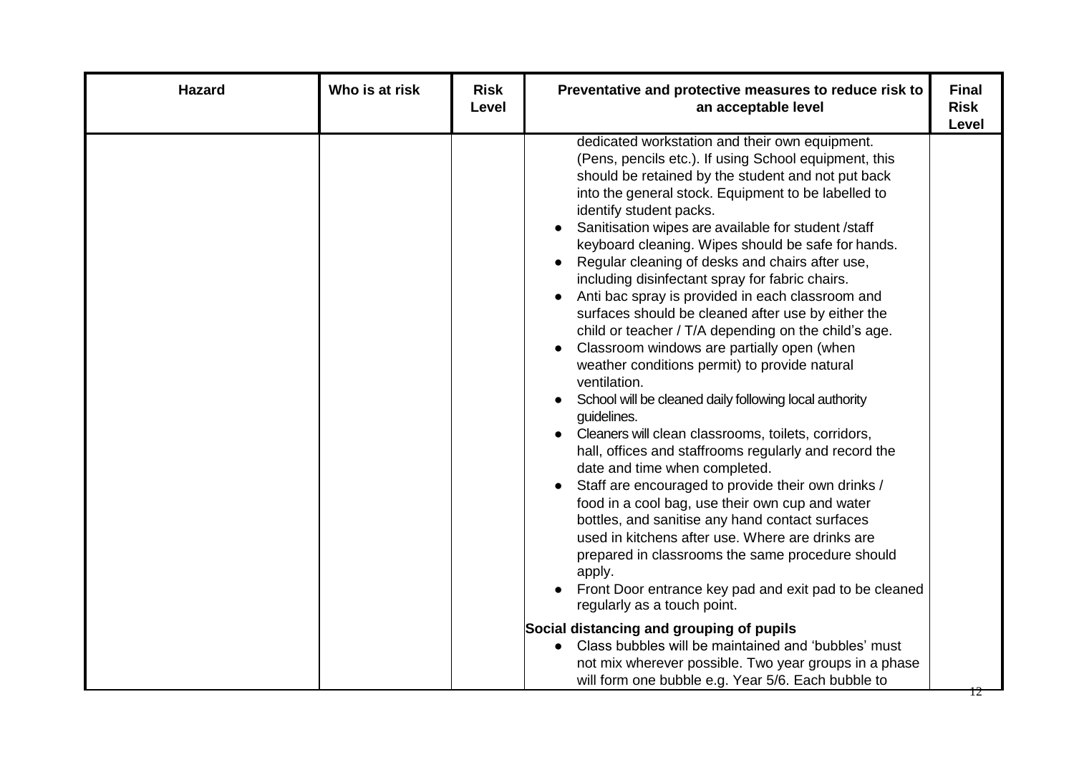| Hazard | Who is at risk | <b>Risk</b><br>Level | Preventative and protective measures to reduce risk to<br>an acceptable level                                                                                                                                                                                                                                                                                                                                                                                                                                                                                                                                                                                                                                                                                                                                                                                                                                                                                                                                                                                                                                                                                                                                                                                                                                                                                                                                 | <b>Final</b><br><b>Risk</b><br>Level |
|--------|----------------|----------------------|---------------------------------------------------------------------------------------------------------------------------------------------------------------------------------------------------------------------------------------------------------------------------------------------------------------------------------------------------------------------------------------------------------------------------------------------------------------------------------------------------------------------------------------------------------------------------------------------------------------------------------------------------------------------------------------------------------------------------------------------------------------------------------------------------------------------------------------------------------------------------------------------------------------------------------------------------------------------------------------------------------------------------------------------------------------------------------------------------------------------------------------------------------------------------------------------------------------------------------------------------------------------------------------------------------------------------------------------------------------------------------------------------------------|--------------------------------------|
|        |                |                      | dedicated workstation and their own equipment.<br>(Pens, pencils etc.). If using School equipment, this<br>should be retained by the student and not put back<br>into the general stock. Equipment to be labelled to<br>identify student packs.<br>Sanitisation wipes are available for student /staff<br>keyboard cleaning. Wipes should be safe for hands.<br>Regular cleaning of desks and chairs after use,<br>including disinfectant spray for fabric chairs.<br>Anti bac spray is provided in each classroom and<br>$\bullet$<br>surfaces should be cleaned after use by either the<br>child or teacher / T/A depending on the child's age.<br>Classroom windows are partially open (when<br>weather conditions permit) to provide natural<br>ventilation.<br>School will be cleaned daily following local authority<br>guidelines.<br>Cleaners will clean classrooms, toilets, corridors,<br>hall, offices and staffrooms regularly and record the<br>date and time when completed.<br>Staff are encouraged to provide their own drinks /<br>food in a cool bag, use their own cup and water<br>bottles, and sanitise any hand contact surfaces<br>used in kitchens after use. Where are drinks are<br>prepared in classrooms the same procedure should<br>apply.<br>Front Door entrance key pad and exit pad to be cleaned<br>regularly as a touch point.<br>Social distancing and grouping of pupils |                                      |
|        |                |                      | Class bubbles will be maintained and 'bubbles' must<br>not mix wherever possible. Two year groups in a phase<br>will form one bubble e.g. Year 5/6. Each bubble to                                                                                                                                                                                                                                                                                                                                                                                                                                                                                                                                                                                                                                                                                                                                                                                                                                                                                                                                                                                                                                                                                                                                                                                                                                            |                                      |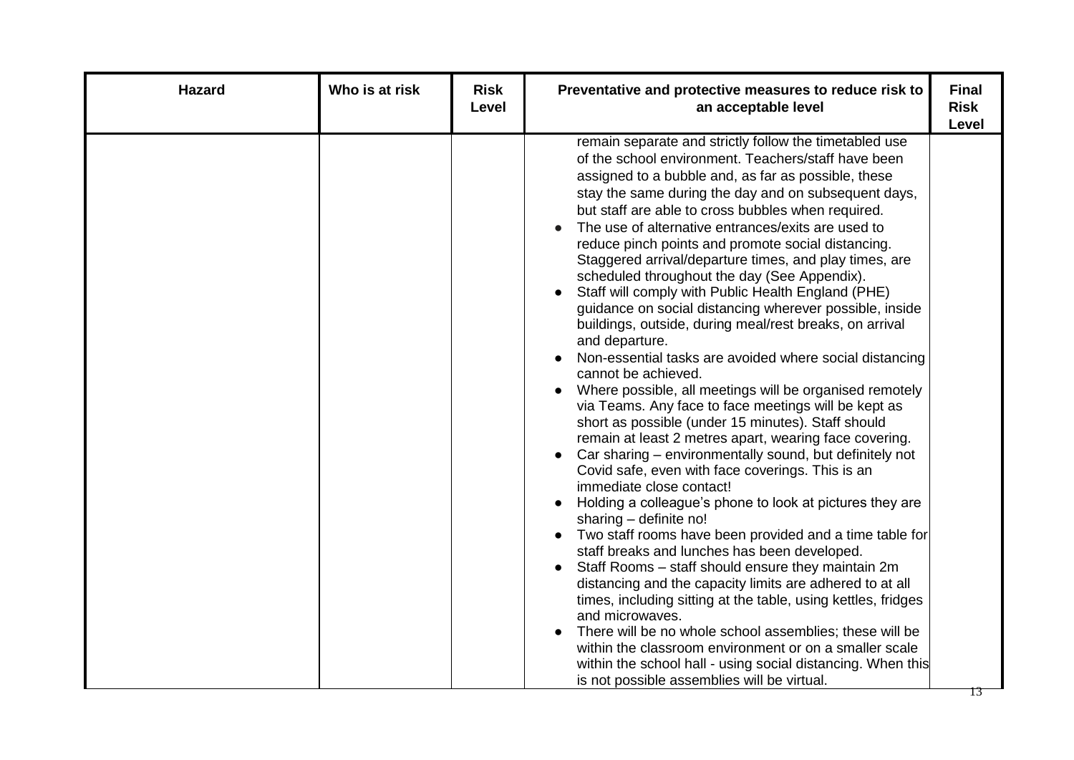| <b>Hazard</b> | Who is at risk | <b>Risk</b><br>Level | Preventative and protective measures to reduce risk to<br>an acceptable level                                                                                                                                                                                                                                                                                                                                                                                                                                                                                                                                                                                                                                                                                                                                                                                                                                                                                                                                                                                                                                                                                                                                                                                                                                                                                                                                                                                                                                                                                                                                                                                                                                                                                                                                                 | <b>Final</b><br><b>Risk</b><br>Level |
|---------------|----------------|----------------------|-------------------------------------------------------------------------------------------------------------------------------------------------------------------------------------------------------------------------------------------------------------------------------------------------------------------------------------------------------------------------------------------------------------------------------------------------------------------------------------------------------------------------------------------------------------------------------------------------------------------------------------------------------------------------------------------------------------------------------------------------------------------------------------------------------------------------------------------------------------------------------------------------------------------------------------------------------------------------------------------------------------------------------------------------------------------------------------------------------------------------------------------------------------------------------------------------------------------------------------------------------------------------------------------------------------------------------------------------------------------------------------------------------------------------------------------------------------------------------------------------------------------------------------------------------------------------------------------------------------------------------------------------------------------------------------------------------------------------------------------------------------------------------------------------------------------------------|--------------------------------------|
|               |                |                      | remain separate and strictly follow the timetabled use<br>of the school environment. Teachers/staff have been<br>assigned to a bubble and, as far as possible, these<br>stay the same during the day and on subsequent days,<br>but staff are able to cross bubbles when required.<br>The use of alternative entrances/exits are used to<br>reduce pinch points and promote social distancing.<br>Staggered arrival/departure times, and play times, are<br>scheduled throughout the day (See Appendix).<br>Staff will comply with Public Health England (PHE)<br>guidance on social distancing wherever possible, inside<br>buildings, outside, during meal/rest breaks, on arrival<br>and departure.<br>Non-essential tasks are avoided where social distancing<br>cannot be achieved.<br>Where possible, all meetings will be organised remotely<br>via Teams. Any face to face meetings will be kept as<br>short as possible (under 15 minutes). Staff should<br>remain at least 2 metres apart, wearing face covering.<br>Car sharing – environmentally sound, but definitely not<br>$\bullet$<br>Covid safe, even with face coverings. This is an<br>immediate close contact!<br>Holding a colleague's phone to look at pictures they are<br>sharing - definite no!<br>Two staff rooms have been provided and a time table for<br>staff breaks and lunches has been developed.<br>Staff Rooms - staff should ensure they maintain 2m<br>distancing and the capacity limits are adhered to at all<br>times, including sitting at the table, using kettles, fridges<br>and microwaves.<br>There will be no whole school assemblies; these will be<br>within the classroom environment or on a smaller scale<br>within the school hall - using social distancing. When this<br>is not possible assemblies will be virtual. |                                      |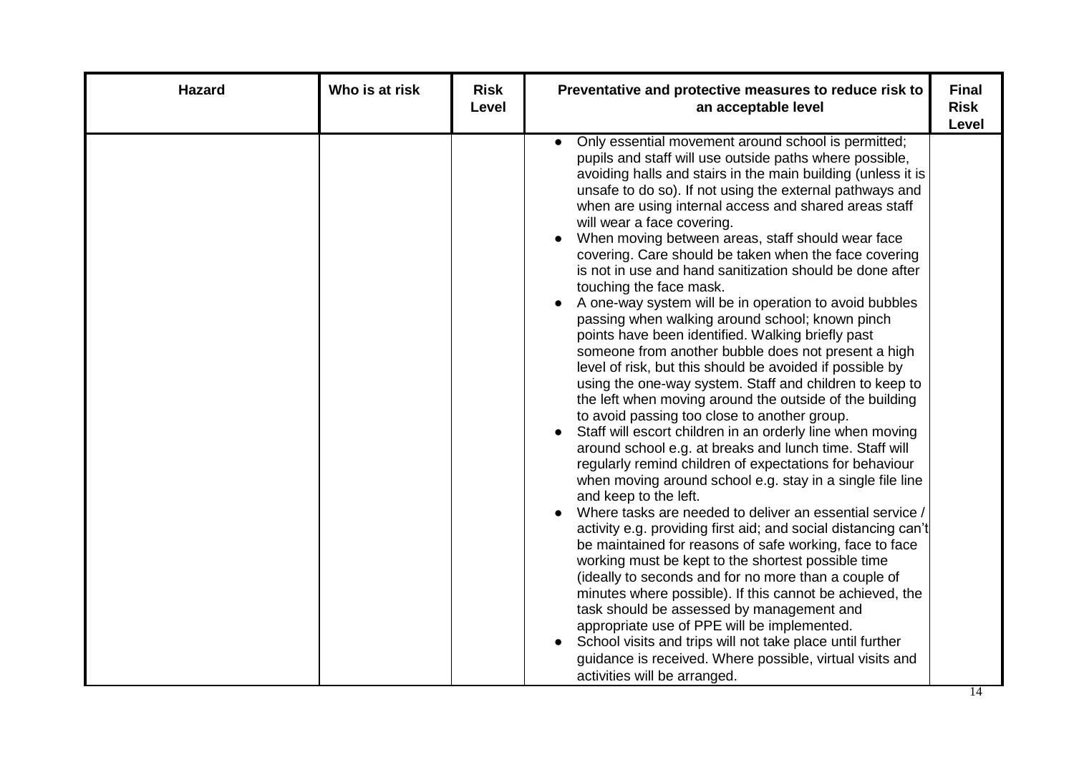| <b>Hazard</b> | Who is at risk | <b>Risk</b><br>Level | Preventative and protective measures to reduce risk to<br>an acceptable level                                                                                                                                                                                                                                                                                                                                                                                                                                                                                                                                                                                                                                                                                                                                                                                                                                                                                                                                                                                                                                                                                                                                                                                                                                                                                                                                                                                                                                                                                                                                                                                                                                                                                                                                                                                                                                                | <b>Final</b><br><b>Risk</b><br><b>Level</b> |
|---------------|----------------|----------------------|------------------------------------------------------------------------------------------------------------------------------------------------------------------------------------------------------------------------------------------------------------------------------------------------------------------------------------------------------------------------------------------------------------------------------------------------------------------------------------------------------------------------------------------------------------------------------------------------------------------------------------------------------------------------------------------------------------------------------------------------------------------------------------------------------------------------------------------------------------------------------------------------------------------------------------------------------------------------------------------------------------------------------------------------------------------------------------------------------------------------------------------------------------------------------------------------------------------------------------------------------------------------------------------------------------------------------------------------------------------------------------------------------------------------------------------------------------------------------------------------------------------------------------------------------------------------------------------------------------------------------------------------------------------------------------------------------------------------------------------------------------------------------------------------------------------------------------------------------------------------------------------------------------------------------|---------------------------------------------|
|               |                |                      | Only essential movement around school is permitted;<br>$\bullet$<br>pupils and staff will use outside paths where possible,<br>avoiding halls and stairs in the main building (unless it is<br>unsafe to do so). If not using the external pathways and<br>when are using internal access and shared areas staff<br>will wear a face covering.<br>When moving between areas, staff should wear face<br>$\bullet$<br>covering. Care should be taken when the face covering<br>is not in use and hand sanitization should be done after<br>touching the face mask.<br>A one-way system will be in operation to avoid bubbles<br>passing when walking around school; known pinch<br>points have been identified. Walking briefly past<br>someone from another bubble does not present a high<br>level of risk, but this should be avoided if possible by<br>using the one-way system. Staff and children to keep to<br>the left when moving around the outside of the building<br>to avoid passing too close to another group.<br>Staff will escort children in an orderly line when moving<br>around school e.g. at breaks and lunch time. Staff will<br>regularly remind children of expectations for behaviour<br>when moving around school e.g. stay in a single file line<br>and keep to the left.<br>Where tasks are needed to deliver an essential service /<br>activity e.g. providing first aid; and social distancing can't<br>be maintained for reasons of safe working, face to face<br>working must be kept to the shortest possible time<br>(ideally to seconds and for no more than a couple of<br>minutes where possible). If this cannot be achieved, the<br>task should be assessed by management and<br>appropriate use of PPE will be implemented.<br>School visits and trips will not take place until further<br>guidance is received. Where possible, virtual visits and<br>activities will be arranged. |                                             |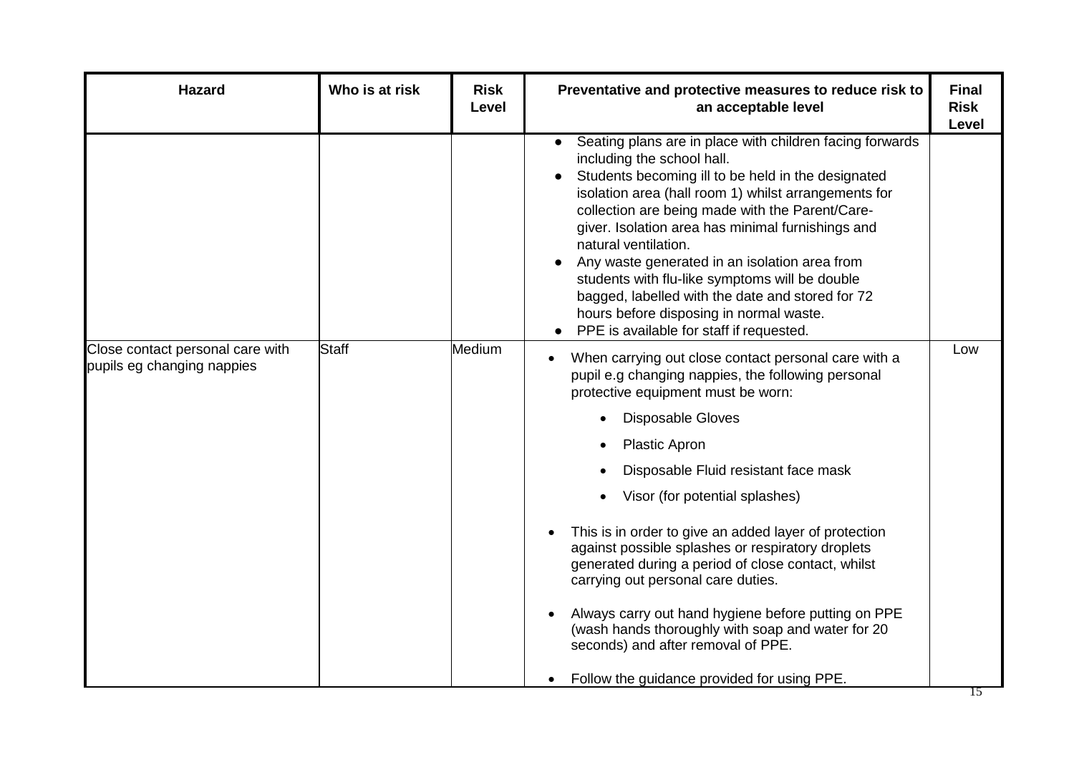| <b>Hazard</b>                                                  | Who is at risk | <b>Risk</b><br>Level | Preventative and protective measures to reduce risk to<br>an acceptable level                                                                                                                                                                                                                                                                                                                                                                                                                                                                                                      | <b>Final</b><br><b>Risk</b><br>Level |
|----------------------------------------------------------------|----------------|----------------------|------------------------------------------------------------------------------------------------------------------------------------------------------------------------------------------------------------------------------------------------------------------------------------------------------------------------------------------------------------------------------------------------------------------------------------------------------------------------------------------------------------------------------------------------------------------------------------|--------------------------------------|
|                                                                |                |                      | Seating plans are in place with children facing forwards<br>including the school hall.<br>Students becoming ill to be held in the designated<br>isolation area (hall room 1) whilst arrangements for<br>collection are being made with the Parent/Care-<br>giver. Isolation area has minimal furnishings and<br>natural ventilation.<br>Any waste generated in an isolation area from<br>students with flu-like symptoms will be double<br>bagged, labelled with the date and stored for 72<br>hours before disposing in normal waste.<br>PPE is available for staff if requested. |                                      |
| Close contact personal care with<br>pupils eg changing nappies | Staff          | Medium               | When carrying out close contact personal care with a<br>pupil e.g changing nappies, the following personal<br>protective equipment must be worn:                                                                                                                                                                                                                                                                                                                                                                                                                                   | Low                                  |
|                                                                |                |                      | <b>Disposable Gloves</b>                                                                                                                                                                                                                                                                                                                                                                                                                                                                                                                                                           |                                      |
|                                                                |                |                      | <b>Plastic Apron</b>                                                                                                                                                                                                                                                                                                                                                                                                                                                                                                                                                               |                                      |
|                                                                |                |                      | Disposable Fluid resistant face mask                                                                                                                                                                                                                                                                                                                                                                                                                                                                                                                                               |                                      |
|                                                                |                |                      | Visor (for potential splashes)                                                                                                                                                                                                                                                                                                                                                                                                                                                                                                                                                     |                                      |
|                                                                |                |                      | This is in order to give an added layer of protection<br>against possible splashes or respiratory droplets<br>generated during a period of close contact, whilst<br>carrying out personal care duties.                                                                                                                                                                                                                                                                                                                                                                             |                                      |
|                                                                |                |                      | Always carry out hand hygiene before putting on PPE<br>(wash hands thoroughly with soap and water for 20<br>seconds) and after removal of PPE.                                                                                                                                                                                                                                                                                                                                                                                                                                     |                                      |
|                                                                |                |                      | Follow the guidance provided for using PPE.<br>$\bullet$                                                                                                                                                                                                                                                                                                                                                                                                                                                                                                                           |                                      |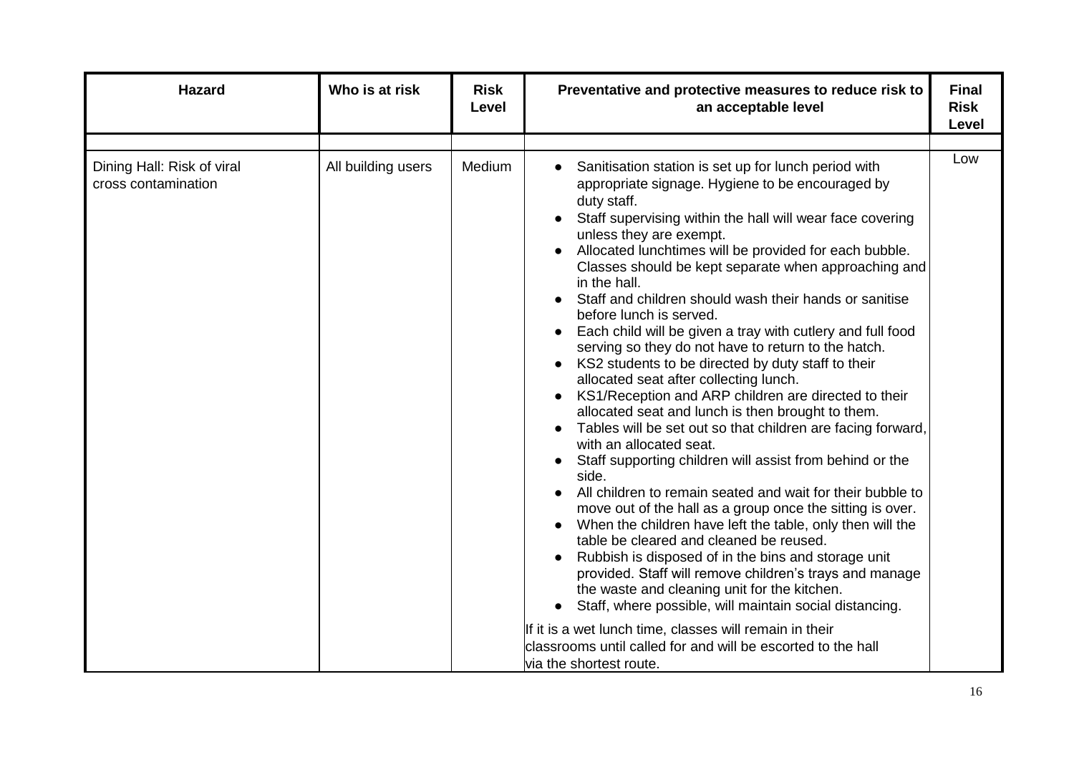| <b>Hazard</b>                                     | Who is at risk     | <b>Risk</b><br>Level | Preventative and protective measures to reduce risk to<br>an acceptable level                                                                                                                                                                                                                                                                                                                                                                                                                                                                                                                                                                                                                                                                                                                                                                                                                                                                                                                                                                                                                                                                                                                                                                                                                                                                                                                                                                                                                                                                                 | <b>Final</b><br><b>Risk</b><br>Level |
|---------------------------------------------------|--------------------|----------------------|---------------------------------------------------------------------------------------------------------------------------------------------------------------------------------------------------------------------------------------------------------------------------------------------------------------------------------------------------------------------------------------------------------------------------------------------------------------------------------------------------------------------------------------------------------------------------------------------------------------------------------------------------------------------------------------------------------------------------------------------------------------------------------------------------------------------------------------------------------------------------------------------------------------------------------------------------------------------------------------------------------------------------------------------------------------------------------------------------------------------------------------------------------------------------------------------------------------------------------------------------------------------------------------------------------------------------------------------------------------------------------------------------------------------------------------------------------------------------------------------------------------------------------------------------------------|--------------------------------------|
| Dining Hall: Risk of viral<br>cross contamination | All building users | Medium               | Sanitisation station is set up for lunch period with<br>appropriate signage. Hygiene to be encouraged by<br>duty staff.<br>Staff supervising within the hall will wear face covering<br>unless they are exempt.<br>Allocated lunchtimes will be provided for each bubble.<br>Classes should be kept separate when approaching and<br>in the hall.<br>Staff and children should wash their hands or sanitise<br>before lunch is served.<br>Each child will be given a tray with cutlery and full food<br>serving so they do not have to return to the hatch.<br>KS2 students to be directed by duty staff to their<br>allocated seat after collecting lunch.<br>KS1/Reception and ARP children are directed to their<br>allocated seat and lunch is then brought to them.<br>Tables will be set out so that children are facing forward,<br>with an allocated seat.<br>Staff supporting children will assist from behind or the<br>side.<br>All children to remain seated and wait for their bubble to<br>move out of the hall as a group once the sitting is over.<br>When the children have left the table, only then will the<br>table be cleared and cleaned be reused.<br>Rubbish is disposed of in the bins and storage unit<br>provided. Staff will remove children's trays and manage<br>the waste and cleaning unit for the kitchen.<br>Staff, where possible, will maintain social distancing.<br>If it is a wet lunch time, classes will remain in their<br>classrooms until called for and will be escorted to the hall<br>via the shortest route. | Low                                  |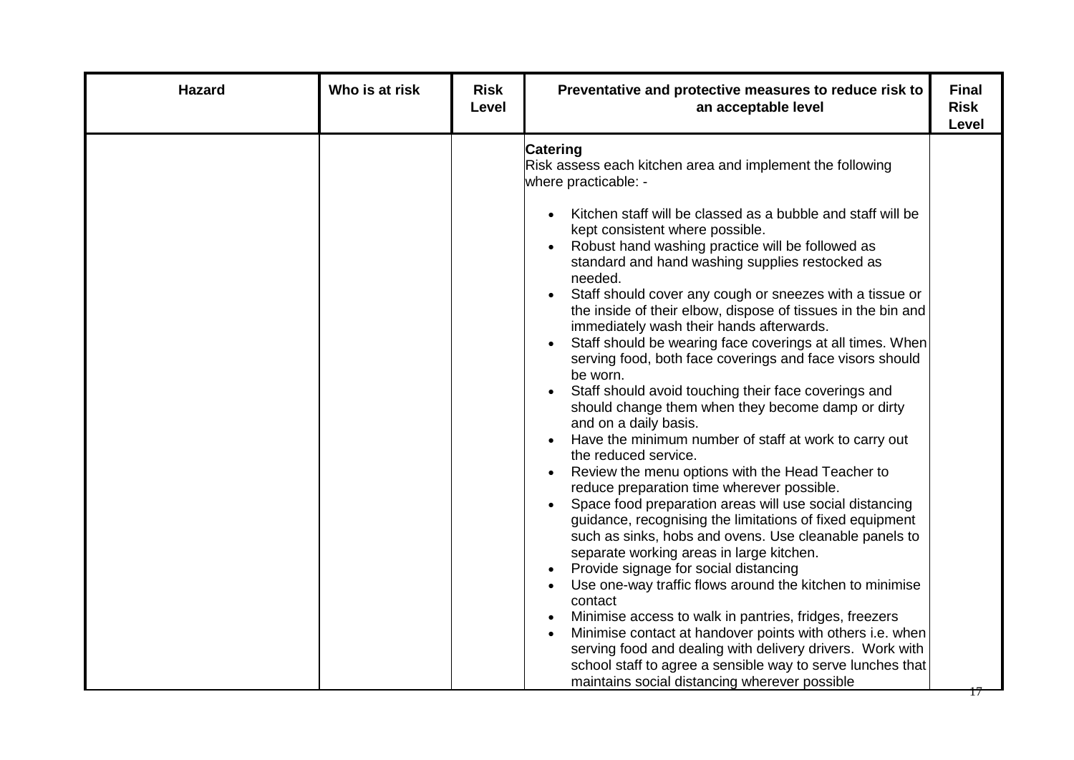| <b>Hazard</b> | Who is at risk | <b>Risk</b><br>Level | Preventative and protective measures to reduce risk to<br>an acceptable level                                                                                                                                                                                                                                                                                                                                                                                                                                                                                                                                                                                                                                                                                                                                                                                                                                                                                                                                                                                                                                                                                                                                                                                                                                                                                                                                                                                                                                                                                                                                  | <b>Final</b><br><b>Risk</b><br><b>Level</b> |
|---------------|----------------|----------------------|----------------------------------------------------------------------------------------------------------------------------------------------------------------------------------------------------------------------------------------------------------------------------------------------------------------------------------------------------------------------------------------------------------------------------------------------------------------------------------------------------------------------------------------------------------------------------------------------------------------------------------------------------------------------------------------------------------------------------------------------------------------------------------------------------------------------------------------------------------------------------------------------------------------------------------------------------------------------------------------------------------------------------------------------------------------------------------------------------------------------------------------------------------------------------------------------------------------------------------------------------------------------------------------------------------------------------------------------------------------------------------------------------------------------------------------------------------------------------------------------------------------------------------------------------------------------------------------------------------------|---------------------------------------------|
|               |                |                      | <b>Catering</b><br>Risk assess each kitchen area and implement the following<br>where practicable: -<br>Kitchen staff will be classed as a bubble and staff will be<br>kept consistent where possible.<br>Robust hand washing practice will be followed as<br>standard and hand washing supplies restocked as<br>needed.<br>Staff should cover any cough or sneezes with a tissue or<br>the inside of their elbow, dispose of tissues in the bin and<br>immediately wash their hands afterwards.<br>Staff should be wearing face coverings at all times. When<br>serving food, both face coverings and face visors should<br>be worn.<br>Staff should avoid touching their face coverings and<br>should change them when they become damp or dirty<br>and on a daily basis.<br>Have the minimum number of staff at work to carry out<br>the reduced service.<br>Review the menu options with the Head Teacher to<br>reduce preparation time wherever possible.<br>Space food preparation areas will use social distancing<br>guidance, recognising the limitations of fixed equipment<br>such as sinks, hobs and ovens. Use cleanable panels to<br>separate working areas in large kitchen.<br>Provide signage for social distancing<br>Use one-way traffic flows around the kitchen to minimise<br>contact<br>Minimise access to walk in pantries, fridges, freezers<br>Minimise contact at handover points with others i.e. when<br>serving food and dealing with delivery drivers. Work with<br>school staff to agree a sensible way to serve lunches that<br>maintains social distancing wherever possible | $\Box$                                      |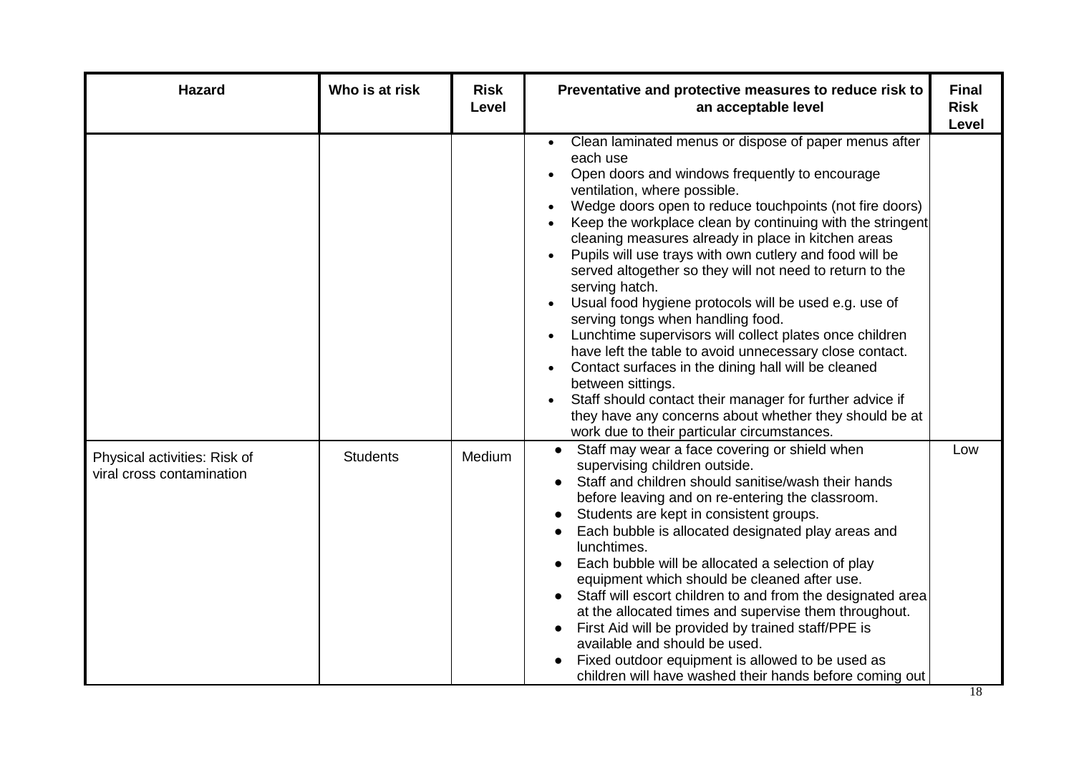| <b>Hazard</b>                                             | Who is at risk  | <b>Risk</b><br>Level | Preventative and protective measures to reduce risk to<br>an acceptable level                                                                                                                                                                                                                                                                                                                                                                                                                                                                                                                                                                                                                                                                                                                                                                                                                                                                    | <b>Final</b><br><b>Risk</b><br>Level |
|-----------------------------------------------------------|-----------------|----------------------|--------------------------------------------------------------------------------------------------------------------------------------------------------------------------------------------------------------------------------------------------------------------------------------------------------------------------------------------------------------------------------------------------------------------------------------------------------------------------------------------------------------------------------------------------------------------------------------------------------------------------------------------------------------------------------------------------------------------------------------------------------------------------------------------------------------------------------------------------------------------------------------------------------------------------------------------------|--------------------------------------|
|                                                           |                 |                      | Clean laminated menus or dispose of paper menus after<br>each use<br>Open doors and windows frequently to encourage<br>ventilation, where possible.<br>Wedge doors open to reduce touchpoints (not fire doors)<br>Keep the workplace clean by continuing with the stringent<br>cleaning measures already in place in kitchen areas<br>Pupils will use trays with own cutlery and food will be<br>served altogether so they will not need to return to the<br>serving hatch.<br>Usual food hygiene protocols will be used e.g. use of<br>serving tongs when handling food.<br>Lunchtime supervisors will collect plates once children<br>have left the table to avoid unnecessary close contact.<br>Contact surfaces in the dining hall will be cleaned<br>between sittings.<br>Staff should contact their manager for further advice if<br>they have any concerns about whether they should be at<br>work due to their particular circumstances. |                                      |
| Physical activities: Risk of<br>viral cross contamination | <b>Students</b> | Medium               | Staff may wear a face covering or shield when<br>supervising children outside.<br>Staff and children should sanitise/wash their hands<br>before leaving and on re-entering the classroom.<br>Students are kept in consistent groups.<br>$\bullet$<br>Each bubble is allocated designated play areas and<br>lunchtimes.<br>Each bubble will be allocated a selection of play<br>equipment which should be cleaned after use.<br>Staff will escort children to and from the designated area<br>at the allocated times and supervise them throughout.<br>First Aid will be provided by trained staff/PPE is<br>available and should be used.<br>Fixed outdoor equipment is allowed to be used as<br>children will have washed their hands before coming out                                                                                                                                                                                         | Low                                  |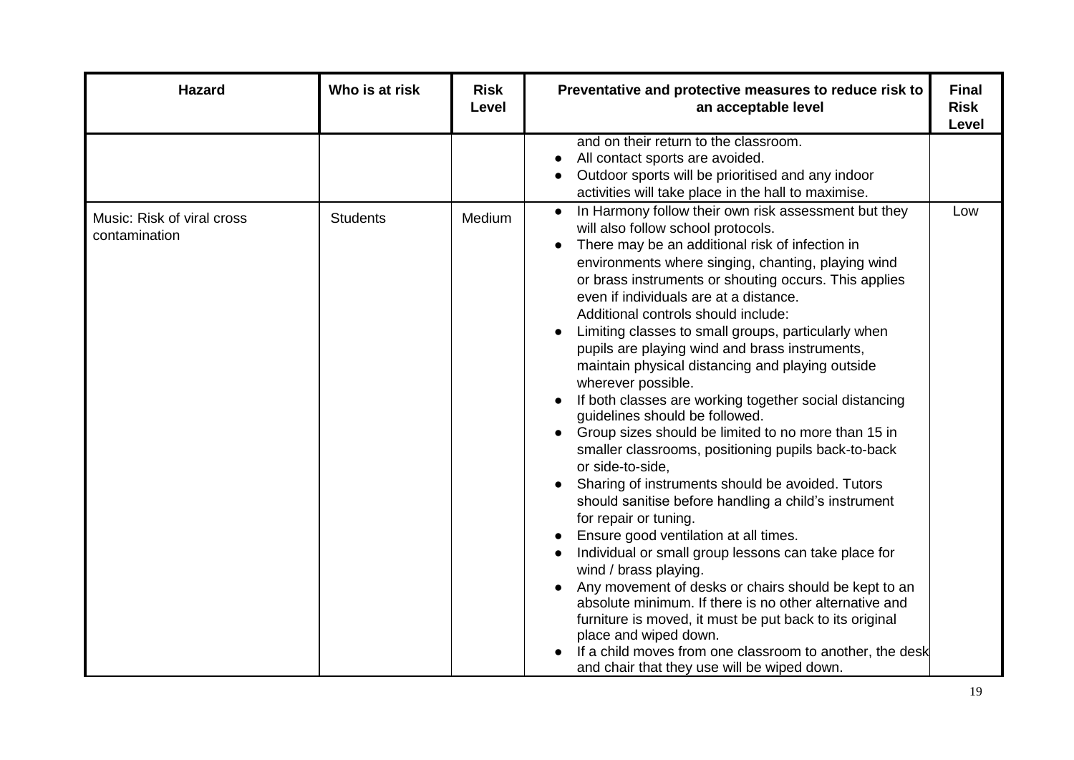| <b>Hazard</b>                               | Who is at risk  | <b>Risk</b><br>Level | Preventative and protective measures to reduce risk to<br>an acceptable level                                                                                                                                                                                                                                                                                                                                                                                                                                                                                                                                                                                                                                                                                                                                                                                                                                                                                                                                                                                                                                                                                                                                                                                                                                                                               | <b>Final</b><br><b>Risk</b><br>Level |
|---------------------------------------------|-----------------|----------------------|-------------------------------------------------------------------------------------------------------------------------------------------------------------------------------------------------------------------------------------------------------------------------------------------------------------------------------------------------------------------------------------------------------------------------------------------------------------------------------------------------------------------------------------------------------------------------------------------------------------------------------------------------------------------------------------------------------------------------------------------------------------------------------------------------------------------------------------------------------------------------------------------------------------------------------------------------------------------------------------------------------------------------------------------------------------------------------------------------------------------------------------------------------------------------------------------------------------------------------------------------------------------------------------------------------------------------------------------------------------|--------------------------------------|
|                                             |                 |                      | and on their return to the classroom.<br>All contact sports are avoided.<br>$\bullet$<br>Outdoor sports will be prioritised and any indoor<br>activities will take place in the hall to maximise.                                                                                                                                                                                                                                                                                                                                                                                                                                                                                                                                                                                                                                                                                                                                                                                                                                                                                                                                                                                                                                                                                                                                                           |                                      |
| Music: Risk of viral cross<br>contamination | <b>Students</b> | Medium               | In Harmony follow their own risk assessment but they<br>$\bullet$<br>will also follow school protocols.<br>There may be an additional risk of infection in<br>environments where singing, chanting, playing wind<br>or brass instruments or shouting occurs. This applies<br>even if individuals are at a distance.<br>Additional controls should include:<br>Limiting classes to small groups, particularly when<br>pupils are playing wind and brass instruments,<br>maintain physical distancing and playing outside<br>wherever possible.<br>If both classes are working together social distancing<br>guidelines should be followed.<br>Group sizes should be limited to no more than 15 in<br>smaller classrooms, positioning pupils back-to-back<br>or side-to-side,<br>Sharing of instruments should be avoided. Tutors<br>should sanitise before handling a child's instrument<br>for repair or tuning.<br>Ensure good ventilation at all times.<br>Individual or small group lessons can take place for<br>wind / brass playing.<br>Any movement of desks or chairs should be kept to an<br>absolute minimum. If there is no other alternative and<br>furniture is moved, it must be put back to its original<br>place and wiped down.<br>If a child moves from one classroom to another, the desk<br>and chair that they use will be wiped down. | Low                                  |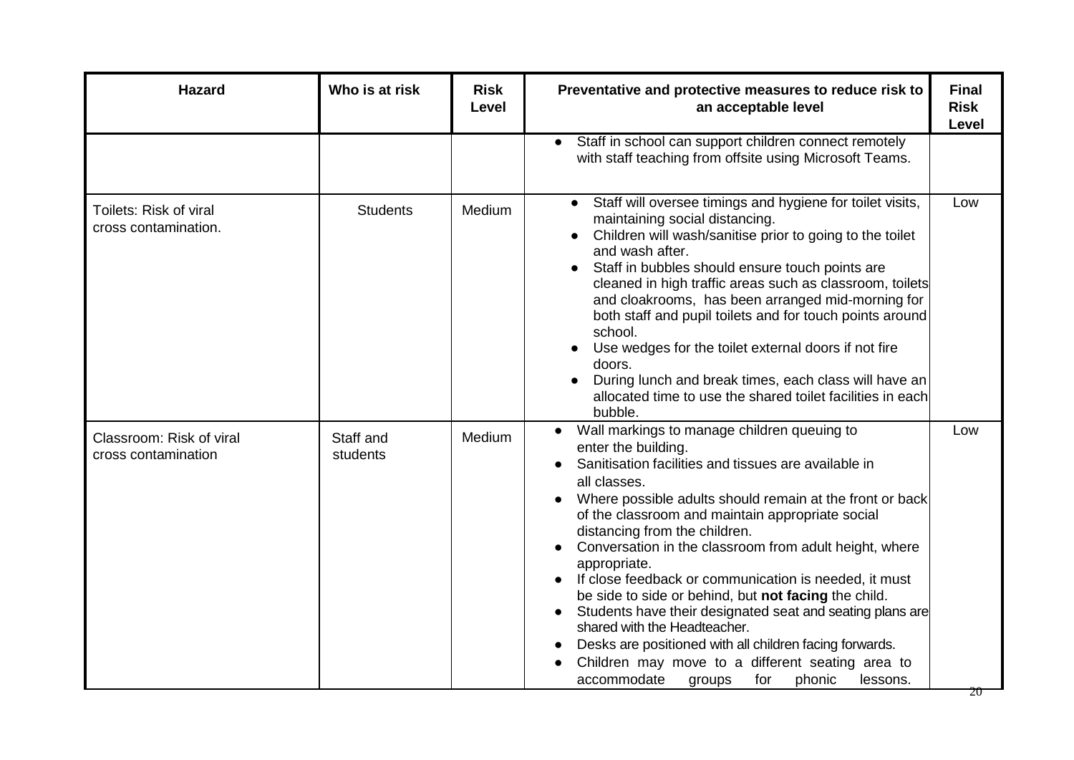| <b>Hazard</b>                                   | Who is at risk        | <b>Risk</b><br>Level | Preventative and protective measures to reduce risk to<br>an acceptable level                                                                                                                                                                                                                                                                                                                                                                                                                                                                                                                                                                                                                                                                                                      | <b>Final</b><br><b>Risk</b><br><b>Level</b> |
|-------------------------------------------------|-----------------------|----------------------|------------------------------------------------------------------------------------------------------------------------------------------------------------------------------------------------------------------------------------------------------------------------------------------------------------------------------------------------------------------------------------------------------------------------------------------------------------------------------------------------------------------------------------------------------------------------------------------------------------------------------------------------------------------------------------------------------------------------------------------------------------------------------------|---------------------------------------------|
|                                                 |                       |                      | Staff in school can support children connect remotely<br>with staff teaching from offsite using Microsoft Teams.                                                                                                                                                                                                                                                                                                                                                                                                                                                                                                                                                                                                                                                                   |                                             |
| Toilets: Risk of viral<br>cross contamination.  | <b>Students</b>       | Medium               | Staff will oversee timings and hygiene for toilet visits,<br>maintaining social distancing.<br>Children will wash/sanitise prior to going to the toilet<br>and wash after.<br>Staff in bubbles should ensure touch points are<br>cleaned in high traffic areas such as classroom, toilets<br>and cloakrooms, has been arranged mid-morning for<br>both staff and pupil toilets and for touch points around<br>school.<br>Use wedges for the toilet external doors if not fire<br>doors.<br>During lunch and break times, each class will have an<br>allocated time to use the shared toilet facilities in each<br>bubble.                                                                                                                                                          | Low                                         |
| Classroom: Risk of viral<br>cross contamination | Staff and<br>students | Medium               | Wall markings to manage children queuing to<br>$\bullet$<br>enter the building.<br>Sanitisation facilities and tissues are available in<br>all classes.<br>Where possible adults should remain at the front or back<br>of the classroom and maintain appropriate social<br>distancing from the children.<br>Conversation in the classroom from adult height, where<br>appropriate.<br>If close feedback or communication is needed, it must<br>be side to side or behind, but not facing the child.<br>Students have their designated seat and seating plans are<br>$\bullet$<br>shared with the Headteacher.<br>Desks are positioned with all children facing forwards.<br>Children may move to a different seating area to<br>accommodate<br>for<br>phonic<br>lessons.<br>groups | Low                                         |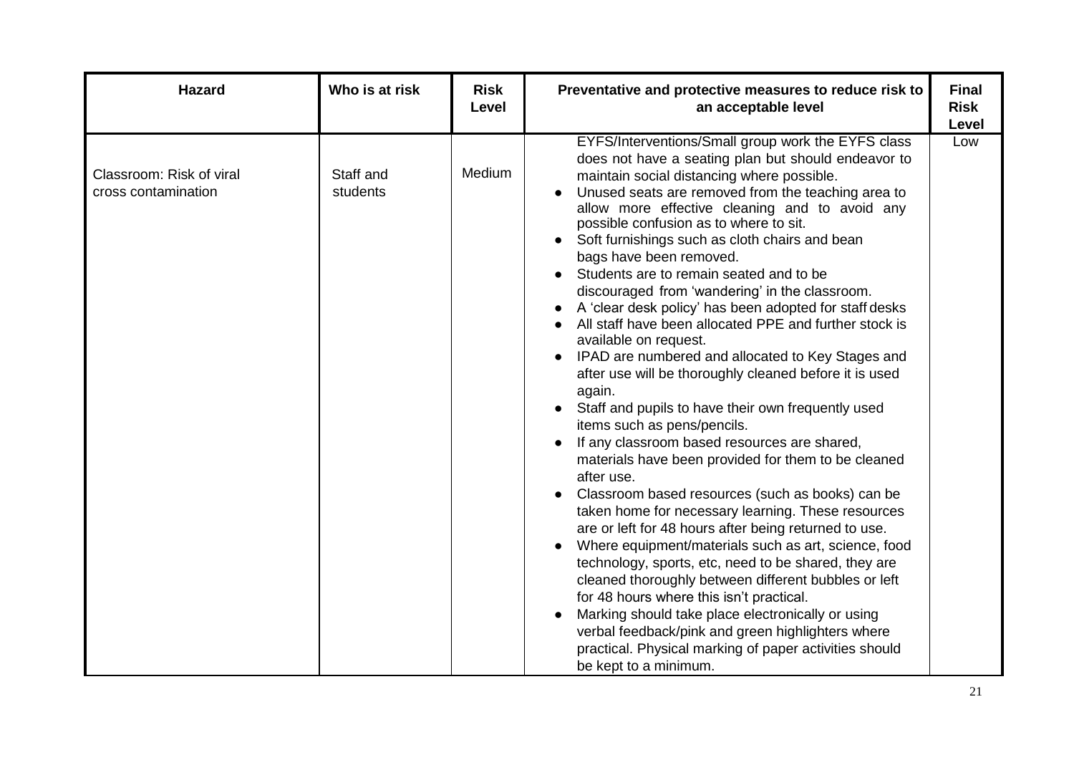| <b>Hazard</b>                                   | Who is at risk        | <b>Risk</b><br>Level | Preventative and protective measures to reduce risk to<br>an acceptable level                                                                                                                                                                                                                                                                                                                                                                                                                                                                                                                                                                                                                                                                                                                                                                                                                                                                                                                                                                                                                                                                                                                                                                                                                                                                                                                                                                                                                                                                                        | <b>Final</b><br><b>Risk</b><br>Level |
|-------------------------------------------------|-----------------------|----------------------|----------------------------------------------------------------------------------------------------------------------------------------------------------------------------------------------------------------------------------------------------------------------------------------------------------------------------------------------------------------------------------------------------------------------------------------------------------------------------------------------------------------------------------------------------------------------------------------------------------------------------------------------------------------------------------------------------------------------------------------------------------------------------------------------------------------------------------------------------------------------------------------------------------------------------------------------------------------------------------------------------------------------------------------------------------------------------------------------------------------------------------------------------------------------------------------------------------------------------------------------------------------------------------------------------------------------------------------------------------------------------------------------------------------------------------------------------------------------------------------------------------------------------------------------------------------------|--------------------------------------|
| Classroom: Risk of viral<br>cross contamination | Staff and<br>students | Medium               | EYFS/Interventions/Small group work the EYFS class<br>does not have a seating plan but should endeavor to<br>maintain social distancing where possible.<br>Unused seats are removed from the teaching area to<br>allow more effective cleaning and to avoid any<br>possible confusion as to where to sit.<br>Soft furnishings such as cloth chairs and bean<br>bags have been removed.<br>Students are to remain seated and to be<br>discouraged from 'wandering' in the classroom.<br>A 'clear desk policy' has been adopted for staff desks<br>All staff have been allocated PPE and further stock is<br>available on request.<br>IPAD are numbered and allocated to Key Stages and<br>$\bullet$<br>after use will be thoroughly cleaned before it is used<br>again.<br>Staff and pupils to have their own frequently used<br>items such as pens/pencils.<br>If any classroom based resources are shared,<br>materials have been provided for them to be cleaned<br>after use.<br>Classroom based resources (such as books) can be<br>taken home for necessary learning. These resources<br>are or left for 48 hours after being returned to use.<br>Where equipment/materials such as art, science, food<br>technology, sports, etc, need to be shared, they are<br>cleaned thoroughly between different bubbles or left<br>for 48 hours where this isn't practical.<br>Marking should take place electronically or using<br>verbal feedback/pink and green highlighters where<br>practical. Physical marking of paper activities should<br>be kept to a minimum. | Low                                  |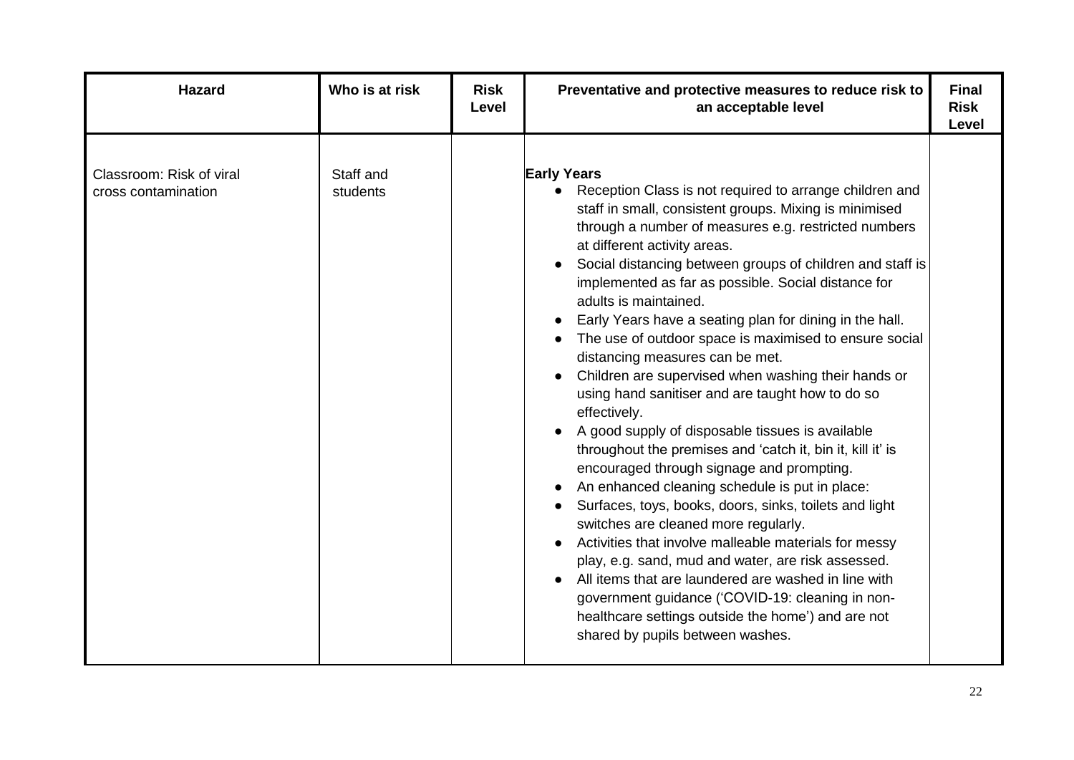| Hazard                                          | Who is at risk        | <b>Risk</b><br>Level | Preventative and protective measures to reduce risk to<br>an acceptable level                                                                                                                                                                                                                                                                                                                                                                                                                                                                                                                                                                                                                                                                                                                                                                                                                                                                                                                                                                                                                                                                                                                                                                                                                           | <b>Final</b><br><b>Risk</b><br>Level |
|-------------------------------------------------|-----------------------|----------------------|---------------------------------------------------------------------------------------------------------------------------------------------------------------------------------------------------------------------------------------------------------------------------------------------------------------------------------------------------------------------------------------------------------------------------------------------------------------------------------------------------------------------------------------------------------------------------------------------------------------------------------------------------------------------------------------------------------------------------------------------------------------------------------------------------------------------------------------------------------------------------------------------------------------------------------------------------------------------------------------------------------------------------------------------------------------------------------------------------------------------------------------------------------------------------------------------------------------------------------------------------------------------------------------------------------|--------------------------------------|
| Classroom: Risk of viral<br>cross contamination | Staff and<br>students |                      | <b>Early Years</b><br>Reception Class is not required to arrange children and<br>staff in small, consistent groups. Mixing is minimised<br>through a number of measures e.g. restricted numbers<br>at different activity areas.<br>Social distancing between groups of children and staff is<br>implemented as far as possible. Social distance for<br>adults is maintained.<br>Early Years have a seating plan for dining in the hall.<br>The use of outdoor space is maximised to ensure social<br>distancing measures can be met.<br>Children are supervised when washing their hands or<br>using hand sanitiser and are taught how to do so<br>effectively.<br>A good supply of disposable tissues is available<br>throughout the premises and 'catch it, bin it, kill it' is<br>encouraged through signage and prompting.<br>An enhanced cleaning schedule is put in place:<br>Surfaces, toys, books, doors, sinks, toilets and light<br>switches are cleaned more regularly.<br>Activities that involve malleable materials for messy<br>play, e.g. sand, mud and water, are risk assessed.<br>All items that are laundered are washed in line with<br>government guidance ('COVID-19: cleaning in non-<br>healthcare settings outside the home') and are not<br>shared by pupils between washes. |                                      |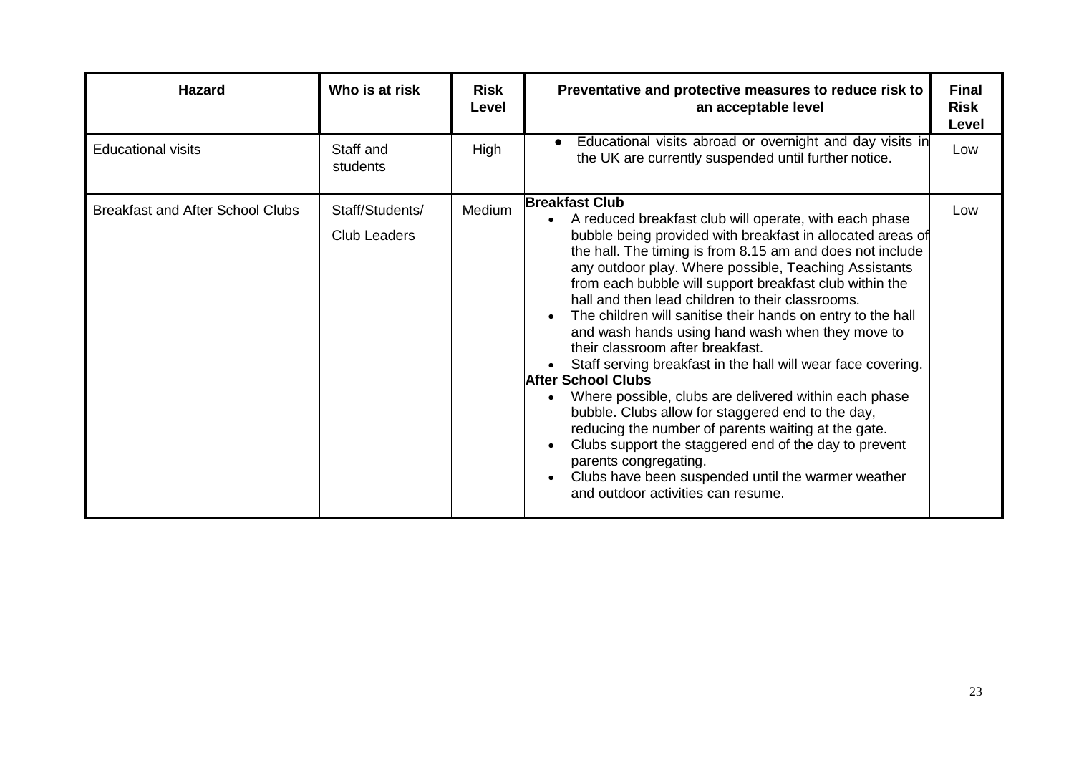| <b>Hazard</b>                           | Who is at risk                         | <b>Risk</b><br>Level | Preventative and protective measures to reduce risk to<br>an acceptable level                                                                                                                                                                                                                                                                                                                                                                                                                                                                                                                                                                                                                                                                                                                                                                                                                                                                                                             | <b>Final</b><br><b>Risk</b><br>Level |
|-----------------------------------------|----------------------------------------|----------------------|-------------------------------------------------------------------------------------------------------------------------------------------------------------------------------------------------------------------------------------------------------------------------------------------------------------------------------------------------------------------------------------------------------------------------------------------------------------------------------------------------------------------------------------------------------------------------------------------------------------------------------------------------------------------------------------------------------------------------------------------------------------------------------------------------------------------------------------------------------------------------------------------------------------------------------------------------------------------------------------------|--------------------------------------|
| <b>Educational visits</b>               | Staff and<br>students                  | High                 | Educational visits abroad or overnight and day visits in<br>the UK are currently suspended until further notice.                                                                                                                                                                                                                                                                                                                                                                                                                                                                                                                                                                                                                                                                                                                                                                                                                                                                          | Low                                  |
| <b>Breakfast and After School Clubs</b> | Staff/Students/<br><b>Club Leaders</b> | Medium               | <b>Breakfast Club</b><br>A reduced breakfast club will operate, with each phase<br>bubble being provided with breakfast in allocated areas of<br>the hall. The timing is from 8.15 am and does not include<br>any outdoor play. Where possible, Teaching Assistants<br>from each bubble will support breakfast club within the<br>hall and then lead children to their classrooms.<br>The children will sanitise their hands on entry to the hall<br>and wash hands using hand wash when they move to<br>their classroom after breakfast.<br>Staff serving breakfast in the hall will wear face covering.<br><b>After School Clubs</b><br>Where possible, clubs are delivered within each phase<br>bubble. Clubs allow for staggered end to the day,<br>reducing the number of parents waiting at the gate.<br>Clubs support the staggered end of the day to prevent<br>parents congregating.<br>Clubs have been suspended until the warmer weather<br>and outdoor activities can resume. | Low                                  |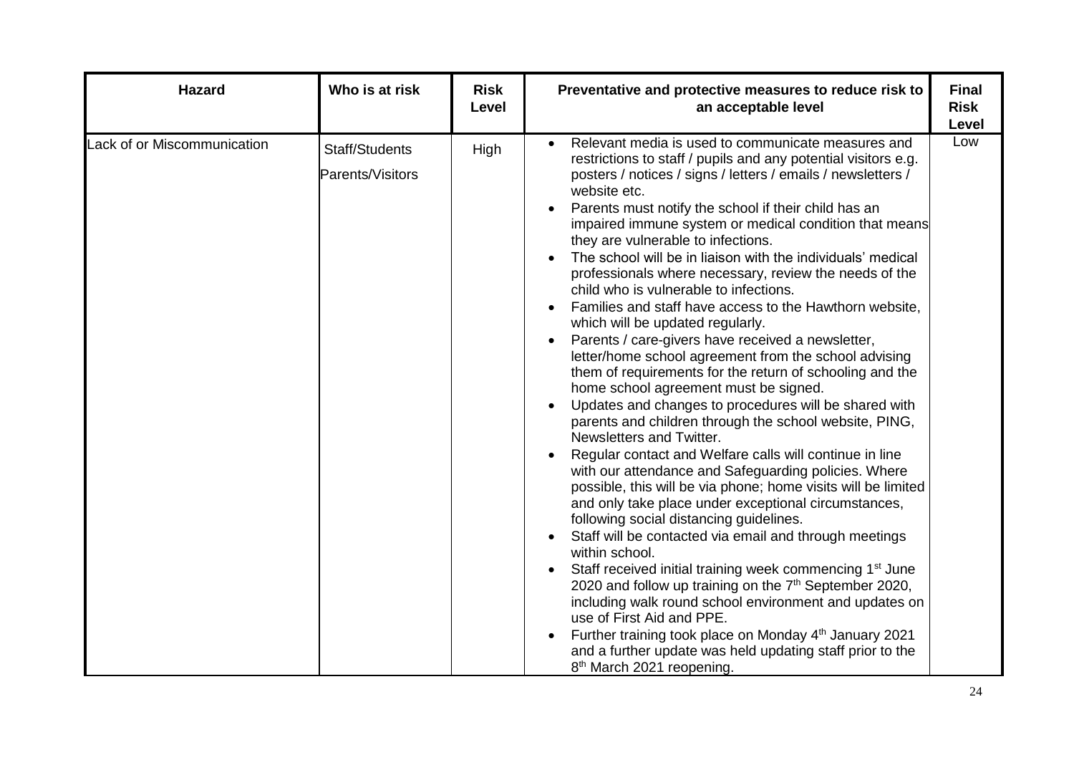| <b>Hazard</b>               | Who is at risk                     | <b>Risk</b><br>Level | Preventative and protective measures to reduce risk to<br>an acceptable level                                                                                                                                                                                                                                                                                                                                                                                                                                                                                                                                                                                                                                                                                                                                                                                                                                                                                                                                                                                                                                                                                                                                                                                                                                                                                                                                                                                                                                                                                                                                                                                                                                                                                                        | <b>Final</b><br><b>Risk</b><br>Level |
|-----------------------------|------------------------------------|----------------------|--------------------------------------------------------------------------------------------------------------------------------------------------------------------------------------------------------------------------------------------------------------------------------------------------------------------------------------------------------------------------------------------------------------------------------------------------------------------------------------------------------------------------------------------------------------------------------------------------------------------------------------------------------------------------------------------------------------------------------------------------------------------------------------------------------------------------------------------------------------------------------------------------------------------------------------------------------------------------------------------------------------------------------------------------------------------------------------------------------------------------------------------------------------------------------------------------------------------------------------------------------------------------------------------------------------------------------------------------------------------------------------------------------------------------------------------------------------------------------------------------------------------------------------------------------------------------------------------------------------------------------------------------------------------------------------------------------------------------------------------------------------------------------------|--------------------------------------|
| Lack of or Miscommunication | Staff/Students<br>Parents/Visitors | High                 | Relevant media is used to communicate measures and<br>restrictions to staff / pupils and any potential visitors e.g.<br>posters / notices / signs / letters / emails / newsletters /<br>website etc.<br>Parents must notify the school if their child has an<br>impaired immune system or medical condition that means<br>they are vulnerable to infections.<br>The school will be in liaison with the individuals' medical<br>professionals where necessary, review the needs of the<br>child who is vulnerable to infections.<br>Families and staff have access to the Hawthorn website,<br>which will be updated regularly.<br>Parents / care-givers have received a newsletter,<br>letter/home school agreement from the school advising<br>them of requirements for the return of schooling and the<br>home school agreement must be signed.<br>Updates and changes to procedures will be shared with<br>parents and children through the school website, PING,<br>Newsletters and Twitter.<br>Regular contact and Welfare calls will continue in line<br>with our attendance and Safeguarding policies. Where<br>possible, this will be via phone; home visits will be limited<br>and only take place under exceptional circumstances,<br>following social distancing guidelines.<br>Staff will be contacted via email and through meetings<br>within school.<br>Staff received initial training week commencing 1 <sup>st</sup> June<br>2020 and follow up training on the 7 <sup>th</sup> September 2020,<br>including walk round school environment and updates on<br>use of First Aid and PPE.<br>Further training took place on Monday 4 <sup>th</sup> January 2021<br>and a further update was held updating staff prior to the<br>8 <sup>th</sup> March 2021 reopening. | Low                                  |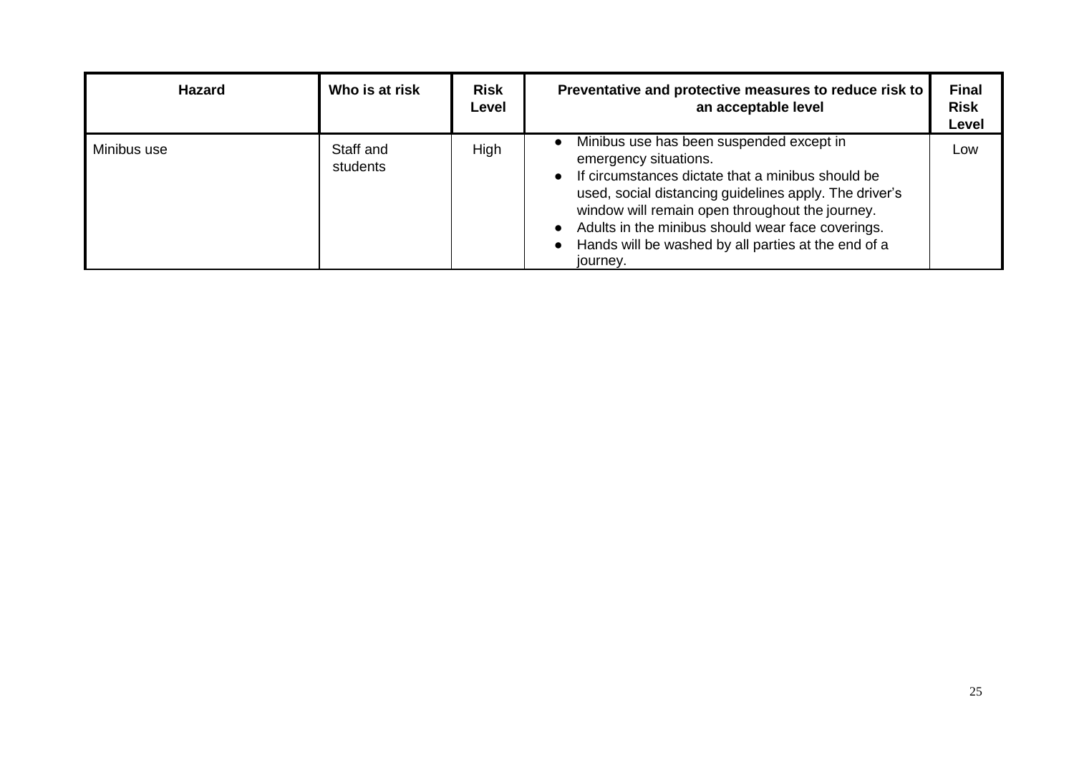| <b>Hazard</b> | Who is at risk        | <b>Risk</b><br>Level | Preventative and protective measures to reduce risk to<br>an acceptable level                                                                                                                                                                                                                                                                                                           | <b>Final</b><br><b>Risk</b><br>Level |
|---------------|-----------------------|----------------------|-----------------------------------------------------------------------------------------------------------------------------------------------------------------------------------------------------------------------------------------------------------------------------------------------------------------------------------------------------------------------------------------|--------------------------------------|
| Minibus use   | Staff and<br>students | High                 | Minibus use has been suspended except in<br>$\bullet$<br>emergency situations.<br>• If circumstances dictate that a minibus should be<br>used, social distancing guidelines apply. The driver's<br>window will remain open throughout the journey.<br>Adults in the minibus should wear face coverings.<br>$\bullet$<br>Hands will be washed by all parties at the end of a<br>journey. | Low                                  |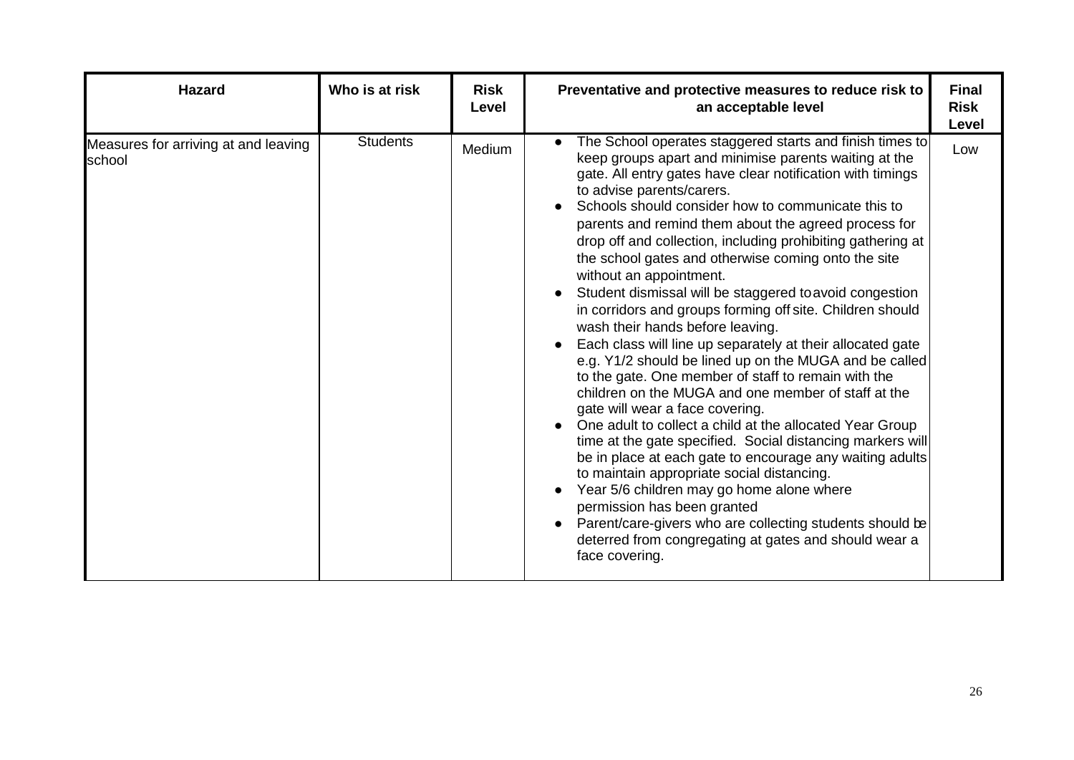| <b>Hazard</b>                                  | Who is at risk  | <b>Risk</b><br>Level | Preventative and protective measures to reduce risk to<br>an acceptable level                                                                                                                                                                                                                                                                                                                                                                                                                                                                                                                                                                                                                                                                                                                                                                                                                                                                                                                                                                                                                                                                                                                                                                                                                                                                                           | <b>Final</b><br><b>Risk</b><br><b>Level</b> |
|------------------------------------------------|-----------------|----------------------|-------------------------------------------------------------------------------------------------------------------------------------------------------------------------------------------------------------------------------------------------------------------------------------------------------------------------------------------------------------------------------------------------------------------------------------------------------------------------------------------------------------------------------------------------------------------------------------------------------------------------------------------------------------------------------------------------------------------------------------------------------------------------------------------------------------------------------------------------------------------------------------------------------------------------------------------------------------------------------------------------------------------------------------------------------------------------------------------------------------------------------------------------------------------------------------------------------------------------------------------------------------------------------------------------------------------------------------------------------------------------|---------------------------------------------|
| Measures for arriving at and leaving<br>school | <b>Students</b> | Medium               | The School operates staggered starts and finish times to<br>keep groups apart and minimise parents waiting at the<br>gate. All entry gates have clear notification with timings<br>to advise parents/carers.<br>Schools should consider how to communicate this to<br>parents and remind them about the agreed process for<br>drop off and collection, including prohibiting gathering at<br>the school gates and otherwise coming onto the site<br>without an appointment.<br>Student dismissal will be staggered to avoid congestion<br>in corridors and groups forming off site. Children should<br>wash their hands before leaving.<br>Each class will line up separately at their allocated gate<br>e.g. Y1/2 should be lined up on the MUGA and be called<br>to the gate. One member of staff to remain with the<br>children on the MUGA and one member of staff at the<br>gate will wear a face covering.<br>One adult to collect a child at the allocated Year Group<br>time at the gate specified. Social distancing markers will<br>be in place at each gate to encourage any waiting adults<br>to maintain appropriate social distancing.<br>Year 5/6 children may go home alone where<br>permission has been granted<br>Parent/care-givers who are collecting students should be<br>deterred from congregating at gates and should wear a<br>face covering. | Low                                         |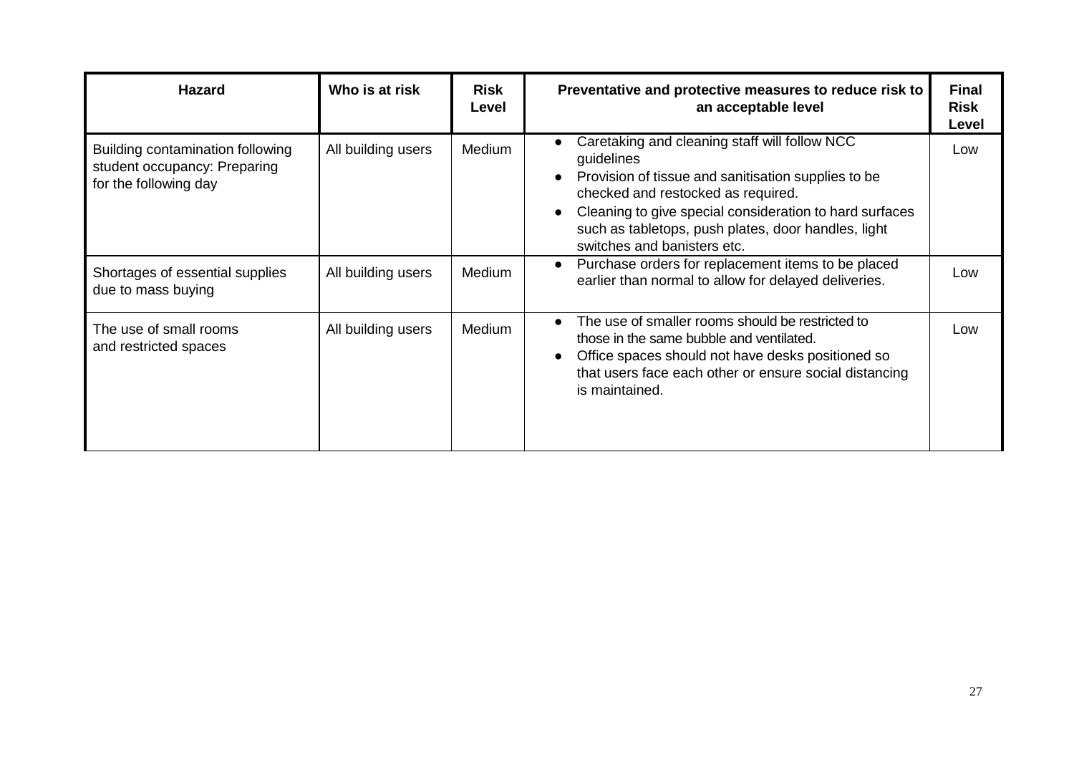| <b>Hazard</b>                                                                             | Who is at risk     | <b>Risk</b><br>Level | Preventative and protective measures to reduce risk to<br>an acceptable level                                                                                                                                                                                                                             | <b>Final</b><br><b>Risk</b><br>Level |
|-------------------------------------------------------------------------------------------|--------------------|----------------------|-----------------------------------------------------------------------------------------------------------------------------------------------------------------------------------------------------------------------------------------------------------------------------------------------------------|--------------------------------------|
| Building contamination following<br>student occupancy: Preparing<br>for the following day | All building users | Medium               | Caretaking and cleaning staff will follow NCC<br>guidelines<br>Provision of tissue and sanitisation supplies to be<br>checked and restocked as required.<br>Cleaning to give special consideration to hard surfaces<br>such as tabletops, push plates, door handles, light<br>switches and banisters etc. | Low                                  |
| Shortages of essential supplies<br>due to mass buying                                     | All building users | Medium               | Purchase orders for replacement items to be placed<br>earlier than normal to allow for delayed deliveries.                                                                                                                                                                                                | Low                                  |
| The use of small rooms<br>and restricted spaces                                           | All building users | <b>Medium</b>        | The use of smaller rooms should be restricted to<br>those in the same bubble and ventilated.<br>Office spaces should not have desks positioned so<br>that users face each other or ensure social distancing<br>is maintained.                                                                             | Low                                  |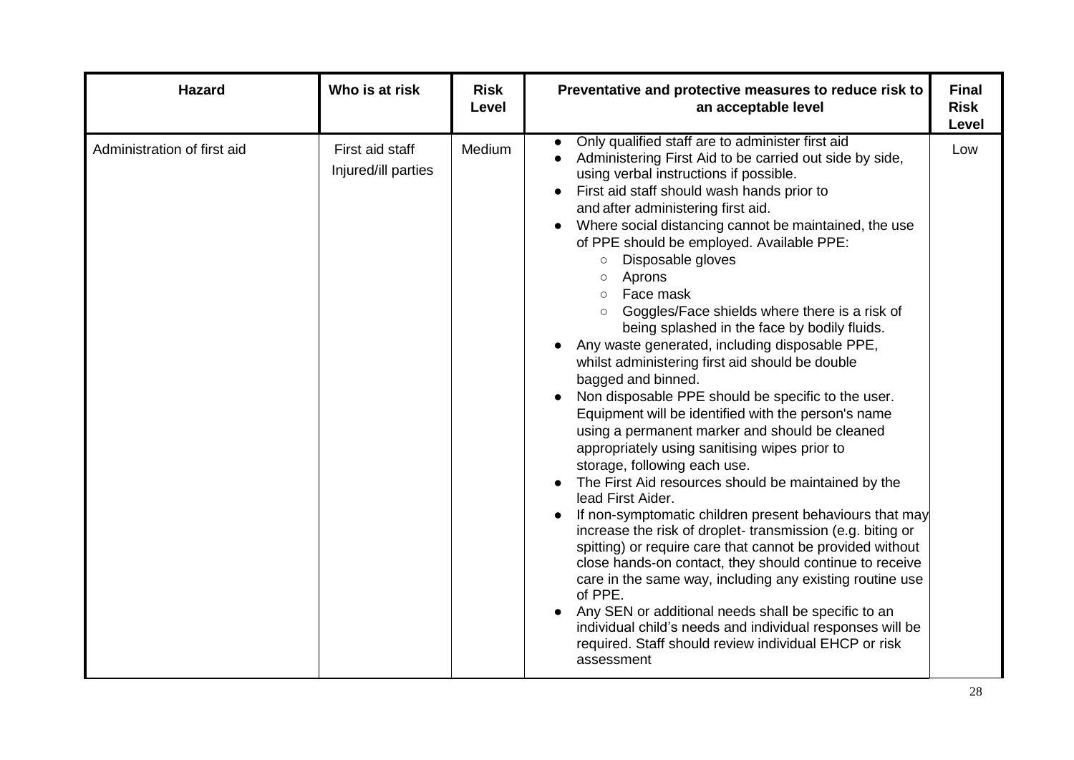| <b>Hazard</b>               | Who is at risk                         | <b>Risk</b><br>Level | Preventative and protective measures to reduce risk to<br>an acceptable level                                                                                                                                                                                                                                                                                                                                                                                                                                                                                                                                                                                                                                                                                                                                                                                                                                                                                                                                                                                                                                                                                                                                                                                                                                                                                                                                                                                                                                     | <b>Final</b><br><b>Risk</b><br>Level |
|-----------------------------|----------------------------------------|----------------------|-------------------------------------------------------------------------------------------------------------------------------------------------------------------------------------------------------------------------------------------------------------------------------------------------------------------------------------------------------------------------------------------------------------------------------------------------------------------------------------------------------------------------------------------------------------------------------------------------------------------------------------------------------------------------------------------------------------------------------------------------------------------------------------------------------------------------------------------------------------------------------------------------------------------------------------------------------------------------------------------------------------------------------------------------------------------------------------------------------------------------------------------------------------------------------------------------------------------------------------------------------------------------------------------------------------------------------------------------------------------------------------------------------------------------------------------------------------------------------------------------------------------|--------------------------------------|
| Administration of first aid | First aid staff<br>Injured/ill parties | Medium               | Only qualified staff are to administer first aid<br>Administering First Aid to be carried out side by side,<br>using verbal instructions if possible.<br>First aid staff should wash hands prior to<br>and after administering first aid.<br>Where social distancing cannot be maintained, the use<br>of PPE should be employed. Available PPE:<br>Disposable gloves<br>$\circ$<br>Aprons<br>$\circ$<br>Face mask<br>$\circ$<br>Goggles/Face shields where there is a risk of<br>$\circ$<br>being splashed in the face by bodily fluids.<br>Any waste generated, including disposable PPE,<br>whilst administering first aid should be double<br>bagged and binned.<br>Non disposable PPE should be specific to the user.<br>Equipment will be identified with the person's name<br>using a permanent marker and should be cleaned<br>appropriately using sanitising wipes prior to<br>storage, following each use.<br>The First Aid resources should be maintained by the<br>lead First Aider.<br>If non-symptomatic children present behaviours that may<br>increase the risk of droplet-transmission (e.g. biting or<br>spitting) or require care that cannot be provided without<br>close hands-on contact, they should continue to receive<br>care in the same way, including any existing routine use<br>of PPE.<br>Any SEN or additional needs shall be specific to an<br>individual child's needs and individual responses will be<br>required. Staff should review individual EHCP or risk<br>assessment | Low                                  |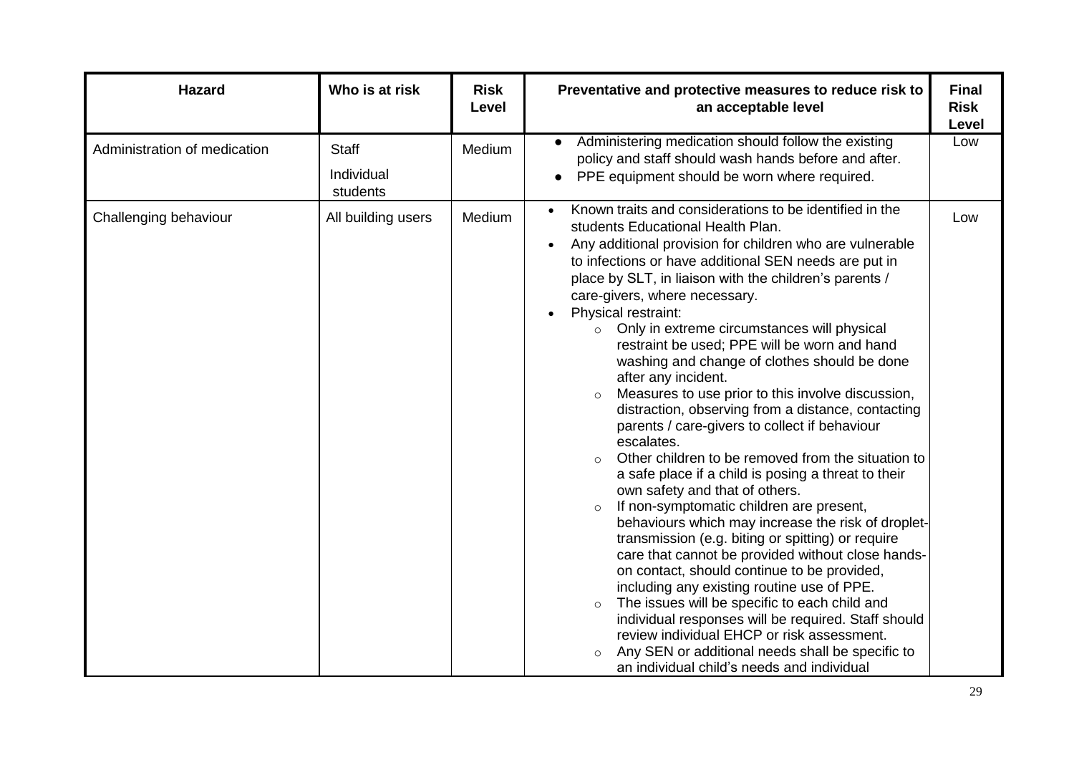| <b>Hazard</b>                | Who is at risk                         | <b>Risk</b><br>Level | Preventative and protective measures to reduce risk to<br>an acceptable level                                                                                                                                                                                                                                                                                                                                                                                                                                                                                                                                                                                                                                                                                                                                                                                                                                                                                                                                                                                                                                                                                                                                                                                                                                                                                                                                                                                  | <b>Final</b><br><b>Risk</b><br><b>Level</b> |
|------------------------------|----------------------------------------|----------------------|----------------------------------------------------------------------------------------------------------------------------------------------------------------------------------------------------------------------------------------------------------------------------------------------------------------------------------------------------------------------------------------------------------------------------------------------------------------------------------------------------------------------------------------------------------------------------------------------------------------------------------------------------------------------------------------------------------------------------------------------------------------------------------------------------------------------------------------------------------------------------------------------------------------------------------------------------------------------------------------------------------------------------------------------------------------------------------------------------------------------------------------------------------------------------------------------------------------------------------------------------------------------------------------------------------------------------------------------------------------------------------------------------------------------------------------------------------------|---------------------------------------------|
| Administration of medication | <b>Staff</b><br>Individual<br>students | Medium               | Administering medication should follow the existing<br>$\bullet$<br>policy and staff should wash hands before and after.<br>PPE equipment should be worn where required.                                                                                                                                                                                                                                                                                                                                                                                                                                                                                                                                                                                                                                                                                                                                                                                                                                                                                                                                                                                                                                                                                                                                                                                                                                                                                       | Low                                         |
| Challenging behaviour        | All building users                     | Medium               | Known traits and considerations to be identified in the<br>students Educational Health Plan.<br>Any additional provision for children who are vulnerable<br>$\bullet$<br>to infections or have additional SEN needs are put in<br>place by SLT, in liaison with the children's parents /<br>care-givers, where necessary.<br>Physical restraint:<br>o Only in extreme circumstances will physical<br>restraint be used; PPE will be worn and hand<br>washing and change of clothes should be done<br>after any incident.<br>Measures to use prior to this involve discussion,<br>$\circ$<br>distraction, observing from a distance, contacting<br>parents / care-givers to collect if behaviour<br>escalates.<br>Other children to be removed from the situation to<br>$\circ$<br>a safe place if a child is posing a threat to their<br>own safety and that of others.<br>If non-symptomatic children are present,<br>$\circ$<br>behaviours which may increase the risk of droplet-<br>transmission (e.g. biting or spitting) or require<br>care that cannot be provided without close hands-<br>on contact, should continue to be provided,<br>including any existing routine use of PPE.<br>The issues will be specific to each child and<br>$\circ$<br>individual responses will be required. Staff should<br>review individual EHCP or risk assessment.<br>Any SEN or additional needs shall be specific to<br>an individual child's needs and individual | Low                                         |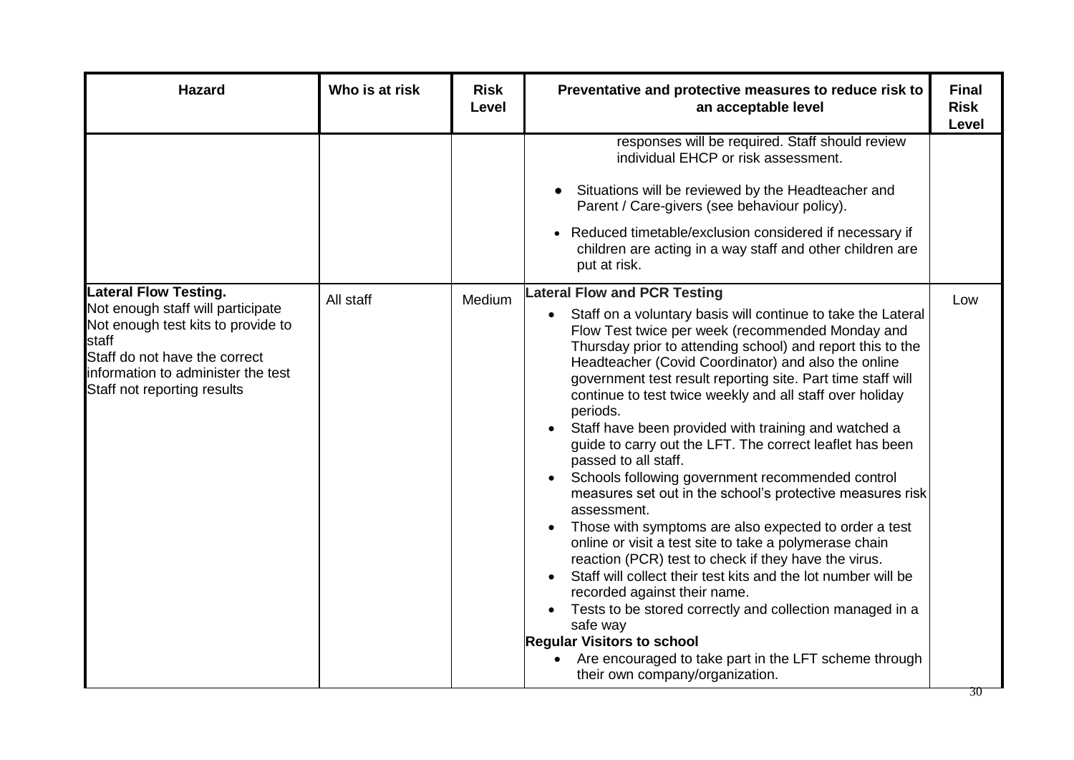| <b>Hazard</b>                                                                                                                                                                                                          | Who is at risk | <b>Risk</b><br>Level | Preventative and protective measures to reduce risk to<br>an acceptable level                                                                                                                                                                                                                                                                                                                                                                                                                                                                                                                                                                                                                                                                                                                                                                                                                                                                                                                                                                                                                                                                                                                                               | <b>Final</b><br><b>Risk</b><br><b>Level</b> |
|------------------------------------------------------------------------------------------------------------------------------------------------------------------------------------------------------------------------|----------------|----------------------|-----------------------------------------------------------------------------------------------------------------------------------------------------------------------------------------------------------------------------------------------------------------------------------------------------------------------------------------------------------------------------------------------------------------------------------------------------------------------------------------------------------------------------------------------------------------------------------------------------------------------------------------------------------------------------------------------------------------------------------------------------------------------------------------------------------------------------------------------------------------------------------------------------------------------------------------------------------------------------------------------------------------------------------------------------------------------------------------------------------------------------------------------------------------------------------------------------------------------------|---------------------------------------------|
|                                                                                                                                                                                                                        |                |                      | responses will be required. Staff should review<br>individual EHCP or risk assessment.<br>Situations will be reviewed by the Headteacher and<br>Parent / Care-givers (see behaviour policy).<br>Reduced timetable/exclusion considered if necessary if<br>children are acting in a way staff and other children are<br>put at risk.                                                                                                                                                                                                                                                                                                                                                                                                                                                                                                                                                                                                                                                                                                                                                                                                                                                                                         |                                             |
| <b>Lateral Flow Testing.</b><br>Not enough staff will participate<br>Not enough test kits to provide to<br>staff<br>Staff do not have the correct<br>information to administer the test<br>Staff not reporting results | All staff      | Medium               | <b>Lateral Flow and PCR Testing</b><br>Staff on a voluntary basis will continue to take the Lateral<br>$\bullet$<br>Flow Test twice per week (recommended Monday and<br>Thursday prior to attending school) and report this to the<br>Headteacher (Covid Coordinator) and also the online<br>government test result reporting site. Part time staff will<br>continue to test twice weekly and all staff over holiday<br>periods.<br>Staff have been provided with training and watched a<br>$\bullet$<br>guide to carry out the LFT. The correct leaflet has been<br>passed to all staff.<br>Schools following government recommended control<br>measures set out in the school's protective measures risk<br>assessment.<br>Those with symptoms are also expected to order a test<br>$\bullet$<br>online or visit a test site to take a polymerase chain<br>reaction (PCR) test to check if they have the virus.<br>Staff will collect their test kits and the lot number will be<br>recorded against their name.<br>Tests to be stored correctly and collection managed in a<br>safe way<br><b>Regular Visitors to school</b><br>Are encouraged to take part in the LFT scheme through<br>their own company/organization. | Low                                         |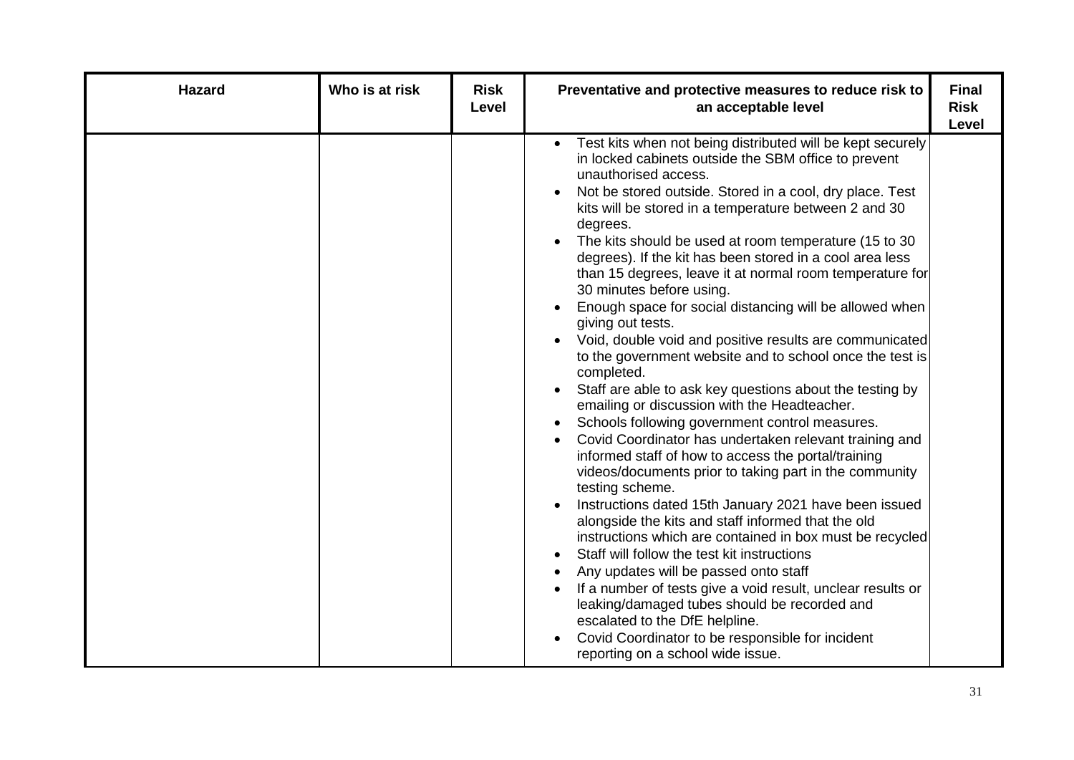| <b>Hazard</b> | Who is at risk | <b>Risk</b><br>Level | Preventative and protective measures to reduce risk to<br>an acceptable level                                                                                                                                                                                                                                                                                                                                                                                                                                                                                                                                                                                                                                                                                                                                                                                                                                                                                                                                                                                                                                                                                                                                                                                                                                                                                                                                                                                                                                                                                                                                                                                              | <b>Final</b><br><b>Risk</b><br>Level |
|---------------|----------------|----------------------|----------------------------------------------------------------------------------------------------------------------------------------------------------------------------------------------------------------------------------------------------------------------------------------------------------------------------------------------------------------------------------------------------------------------------------------------------------------------------------------------------------------------------------------------------------------------------------------------------------------------------------------------------------------------------------------------------------------------------------------------------------------------------------------------------------------------------------------------------------------------------------------------------------------------------------------------------------------------------------------------------------------------------------------------------------------------------------------------------------------------------------------------------------------------------------------------------------------------------------------------------------------------------------------------------------------------------------------------------------------------------------------------------------------------------------------------------------------------------------------------------------------------------------------------------------------------------------------------------------------------------------------------------------------------------|--------------------------------------|
|               |                |                      | Test kits when not being distributed will be kept securely<br>in locked cabinets outside the SBM office to prevent<br>unauthorised access.<br>Not be stored outside. Stored in a cool, dry place. Test<br>$\bullet$<br>kits will be stored in a temperature between 2 and 30<br>degrees.<br>The kits should be used at room temperature (15 to 30)<br>$\bullet$<br>degrees). If the kit has been stored in a cool area less<br>than 15 degrees, leave it at normal room temperature for<br>30 minutes before using.<br>Enough space for social distancing will be allowed when<br>$\bullet$<br>giving out tests.<br>Void, double void and positive results are communicated<br>to the government website and to school once the test is<br>completed.<br>Staff are able to ask key questions about the testing by<br>$\bullet$<br>emailing or discussion with the Headteacher.<br>Schools following government control measures.<br>$\bullet$<br>Covid Coordinator has undertaken relevant training and<br>٠<br>informed staff of how to access the portal/training<br>videos/documents prior to taking part in the community<br>testing scheme.<br>Instructions dated 15th January 2021 have been issued<br>$\bullet$<br>alongside the kits and staff informed that the old<br>instructions which are contained in box must be recycled<br>Staff will follow the test kit instructions<br>Any updates will be passed onto staff<br>If a number of tests give a void result, unclear results or<br>leaking/damaged tubes should be recorded and<br>escalated to the DfE helpline.<br>Covid Coordinator to be responsible for incident<br>reporting on a school wide issue. |                                      |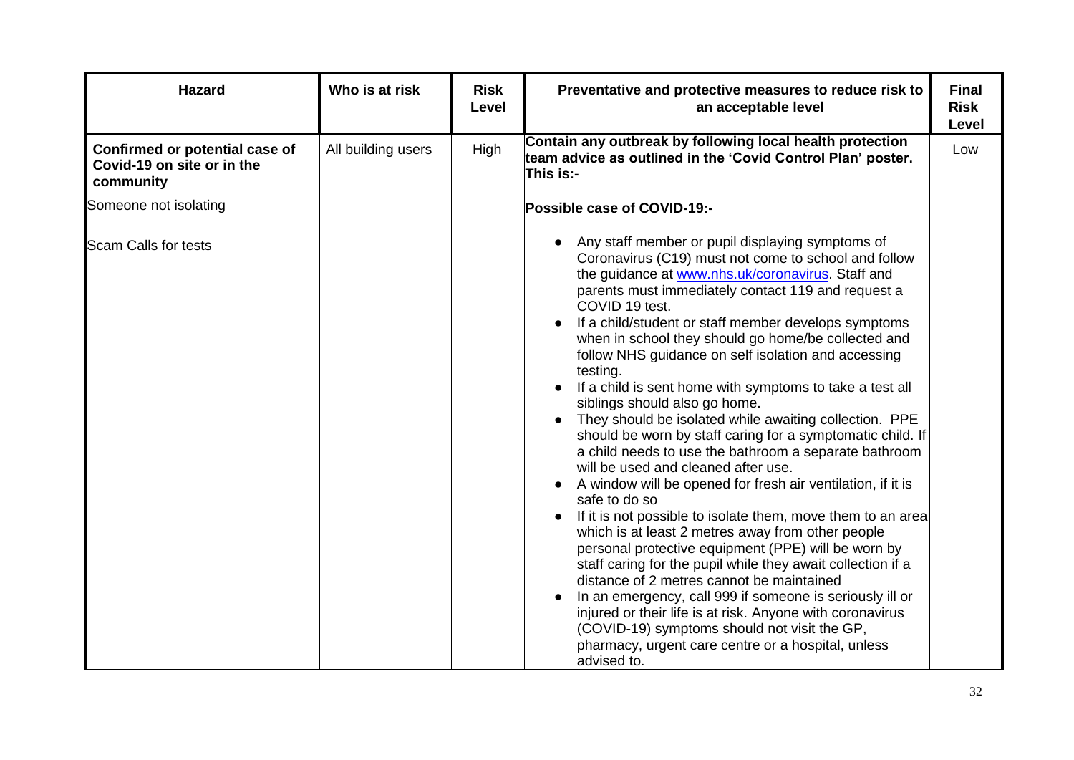| <b>Hazard</b>                                                             | Who is at risk     | <b>Risk</b><br>Level | Preventative and protective measures to reduce risk to<br>an acceptable level                                                                                                                                                                                                                                                                                                                                                                                                                                                                                                                                                                                                                                                                                                                                                                                                                                                                                                                                                                                                                                                                                                                                                                                                                                                                                                  | <b>Final</b><br><b>Risk</b><br>Level |
|---------------------------------------------------------------------------|--------------------|----------------------|--------------------------------------------------------------------------------------------------------------------------------------------------------------------------------------------------------------------------------------------------------------------------------------------------------------------------------------------------------------------------------------------------------------------------------------------------------------------------------------------------------------------------------------------------------------------------------------------------------------------------------------------------------------------------------------------------------------------------------------------------------------------------------------------------------------------------------------------------------------------------------------------------------------------------------------------------------------------------------------------------------------------------------------------------------------------------------------------------------------------------------------------------------------------------------------------------------------------------------------------------------------------------------------------------------------------------------------------------------------------------------|--------------------------------------|
| Confirmed or potential case of<br>Covid-19 on site or in the<br>community | All building users | High                 | Contain any outbreak by following local health protection<br>team advice as outlined in the 'Covid Control Plan' poster.<br>This is:-                                                                                                                                                                                                                                                                                                                                                                                                                                                                                                                                                                                                                                                                                                                                                                                                                                                                                                                                                                                                                                                                                                                                                                                                                                          | Low                                  |
| Someone not isolating                                                     |                    |                      | Possible case of COVID-19:-                                                                                                                                                                                                                                                                                                                                                                                                                                                                                                                                                                                                                                                                                                                                                                                                                                                                                                                                                                                                                                                                                                                                                                                                                                                                                                                                                    |                                      |
| <b>Scam Calls for tests</b>                                               |                    |                      | Any staff member or pupil displaying symptoms of<br>Coronavirus (C19) must not come to school and follow<br>the guidance at www.nhs.uk/coronavirus. Staff and<br>parents must immediately contact 119 and request a<br>COVID 19 test.<br>If a child/student or staff member develops symptoms<br>when in school they should go home/be collected and<br>follow NHS guidance on self isolation and accessing<br>testing.<br>If a child is sent home with symptoms to take a test all<br>siblings should also go home.<br>They should be isolated while awaiting collection. PPE<br>$\bullet$<br>should be worn by staff caring for a symptomatic child. If<br>a child needs to use the bathroom a separate bathroom<br>will be used and cleaned after use.<br>A window will be opened for fresh air ventilation, if it is<br>safe to do so<br>If it is not possible to isolate them, move them to an area<br>which is at least 2 metres away from other people<br>personal protective equipment (PPE) will be worn by<br>staff caring for the pupil while they await collection if a<br>distance of 2 metres cannot be maintained<br>In an emergency, call 999 if someone is seriously ill or<br>injured or their life is at risk. Anyone with coronavirus<br>(COVID-19) symptoms should not visit the GP,<br>pharmacy, urgent care centre or a hospital, unless<br>advised to. |                                      |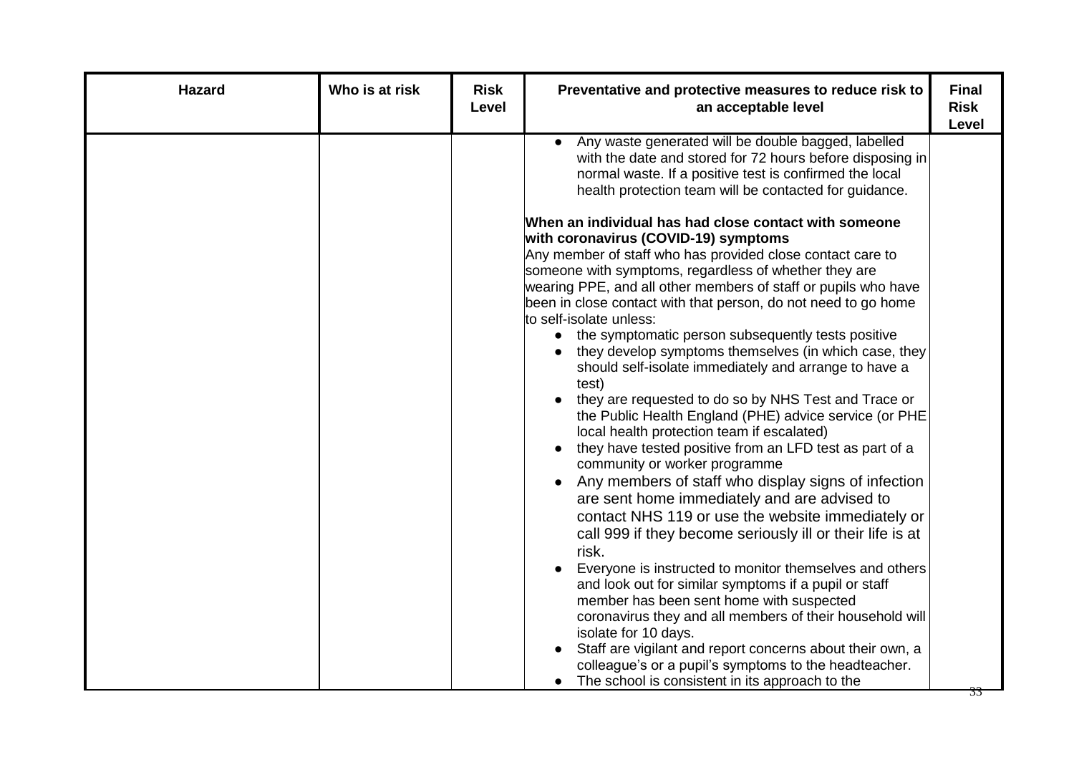| <b>Hazard</b> | Who is at risk | <b>Risk</b><br>Level | Preventative and protective measures to reduce risk to<br>an acceptable level                                                                                                                                                                                                                                                                                                                                                                                                                                                                                                                                                                                                                                                                                                                                                                                                                                                                                                                                                                                                                                                                                                                                                                                                                                                                                                                                                                                                                         | <b>Final</b><br><b>Risk</b><br>Level |
|---------------|----------------|----------------------|-------------------------------------------------------------------------------------------------------------------------------------------------------------------------------------------------------------------------------------------------------------------------------------------------------------------------------------------------------------------------------------------------------------------------------------------------------------------------------------------------------------------------------------------------------------------------------------------------------------------------------------------------------------------------------------------------------------------------------------------------------------------------------------------------------------------------------------------------------------------------------------------------------------------------------------------------------------------------------------------------------------------------------------------------------------------------------------------------------------------------------------------------------------------------------------------------------------------------------------------------------------------------------------------------------------------------------------------------------------------------------------------------------------------------------------------------------------------------------------------------------|--------------------------------------|
|               |                |                      | Any waste generated will be double bagged, labelled<br>with the date and stored for 72 hours before disposing in<br>normal waste. If a positive test is confirmed the local<br>health protection team will be contacted for guidance.<br>When an individual has had close contact with someone<br>with coronavirus (COVID-19) symptoms<br>Any member of staff who has provided close contact care to<br>someone with symptoms, regardless of whether they are<br>wearing PPE, and all other members of staff or pupils who have<br>been in close contact with that person, do not need to go home<br>to self-isolate unless:<br>the symptomatic person subsequently tests positive<br>$\bullet$<br>they develop symptoms themselves (in which case, they<br>should self-isolate immediately and arrange to have a<br>test)<br>they are requested to do so by NHS Test and Trace or<br>the Public Health England (PHE) advice service (or PHE<br>local health protection team if escalated)<br>they have tested positive from an LFD test as part of a<br>community or worker programme<br>Any members of staff who display signs of infection<br>$\bullet$<br>are sent home immediately and are advised to<br>contact NHS 119 or use the website immediately or<br>call 999 if they become seriously ill or their life is at<br>risk.<br>Everyone is instructed to monitor themselves and others<br>and look out for similar symptoms if a pupil or staff<br>member has been sent home with suspected |                                      |
|               |                |                      | coronavirus they and all members of their household will<br>isolate for 10 days.<br>Staff are vigilant and report concerns about their own, a<br>colleague's or a pupil's symptoms to the headteacher.<br>The school is consistent in its approach to the                                                                                                                                                                                                                                                                                                                                                                                                                                                                                                                                                                                                                                                                                                                                                                                                                                                                                                                                                                                                                                                                                                                                                                                                                                             |                                      |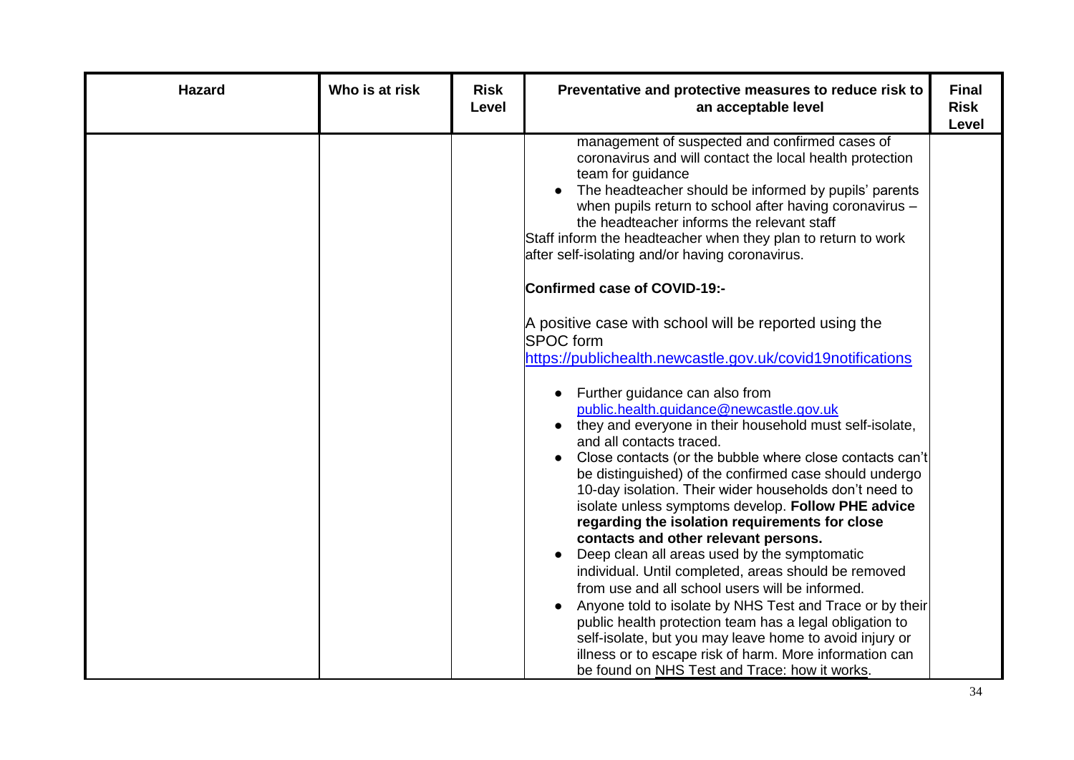| <b>Hazard</b> | Who is at risk | <b>Risk</b><br>Level | Preventative and protective measures to reduce risk to<br>an acceptable level                                                                                                                                                                                                                                                                                                                                                                                                                                                                                                                                                                                                                                                                                                                                                                                                                                                                                                                                                                                                                                                                                                                             | <b>Final</b><br><b>Risk</b><br>Level |
|---------------|----------------|----------------------|-----------------------------------------------------------------------------------------------------------------------------------------------------------------------------------------------------------------------------------------------------------------------------------------------------------------------------------------------------------------------------------------------------------------------------------------------------------------------------------------------------------------------------------------------------------------------------------------------------------------------------------------------------------------------------------------------------------------------------------------------------------------------------------------------------------------------------------------------------------------------------------------------------------------------------------------------------------------------------------------------------------------------------------------------------------------------------------------------------------------------------------------------------------------------------------------------------------|--------------------------------------|
|               |                |                      | management of suspected and confirmed cases of<br>coronavirus and will contact the local health protection<br>team for guidance<br>The headteacher should be informed by pupils' parents<br>when pupils return to school after having coronavirus -<br>the headteacher informs the relevant staff<br>Staff inform the headteacher when they plan to return to work<br>after self-isolating and/or having coronavirus.<br>Confirmed case of COVID-19:-<br>A positive case with school will be reported using the<br><b>SPOC</b> form<br>https://publichealth.newcastle.gov.uk/covid19notifications<br>Further guidance can also from<br>$\bullet$<br>public.health.guidance@newcastle.gov.uk<br>they and everyone in their household must self-isolate,<br>$\bullet$<br>and all contacts traced.<br>Close contacts (or the bubble where close contacts can't<br>$\bullet$<br>be distinguished) of the confirmed case should undergo<br>10-day isolation. Their wider households don't need to<br>isolate unless symptoms develop. Follow PHE advice<br>regarding the isolation requirements for close<br>contacts and other relevant persons.<br>Deep clean all areas used by the symptomatic<br>$\bullet$ |                                      |
|               |                |                      | individual. Until completed, areas should be removed<br>from use and all school users will be informed.<br>Anyone told to isolate by NHS Test and Trace or by their<br>public health protection team has a legal obligation to<br>self-isolate, but you may leave home to avoid injury or<br>illness or to escape risk of harm. More information can<br>be found on NHS Test and Trace: how it works.                                                                                                                                                                                                                                                                                                                                                                                                                                                                                                                                                                                                                                                                                                                                                                                                     |                                      |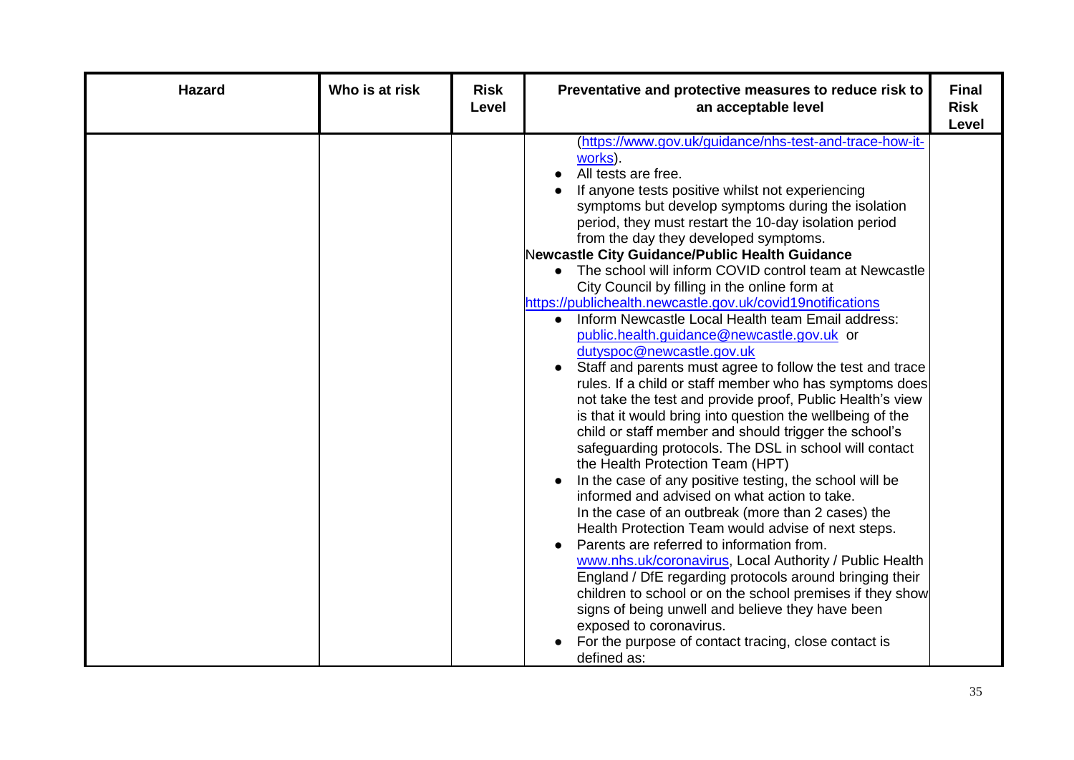| <b>Hazard</b> | Who is at risk | <b>Risk</b><br>Level | Preventative and protective measures to reduce risk to<br>an acceptable level                                                                                                                                                                                                                                                                                                                                                                                                                                                                                                                                                                                                                                                                                                                                                                                                                                                                                                                                                                                                                                                                                                                                                                                                                                                                                                                                                                                                                                                                                                                                                                                                          | <b>Final</b><br><b>Risk</b><br>Level |
|---------------|----------------|----------------------|----------------------------------------------------------------------------------------------------------------------------------------------------------------------------------------------------------------------------------------------------------------------------------------------------------------------------------------------------------------------------------------------------------------------------------------------------------------------------------------------------------------------------------------------------------------------------------------------------------------------------------------------------------------------------------------------------------------------------------------------------------------------------------------------------------------------------------------------------------------------------------------------------------------------------------------------------------------------------------------------------------------------------------------------------------------------------------------------------------------------------------------------------------------------------------------------------------------------------------------------------------------------------------------------------------------------------------------------------------------------------------------------------------------------------------------------------------------------------------------------------------------------------------------------------------------------------------------------------------------------------------------------------------------------------------------|--------------------------------------|
|               |                |                      | (https://www.gov.uk/guidance/nhs-test-and-trace-how-it-<br>works).<br>All tests are free.<br>If anyone tests positive whilst not experiencing<br>symptoms but develop symptoms during the isolation<br>period, they must restart the 10-day isolation period<br>from the day they developed symptoms.<br>Newcastle City Guidance/Public Health Guidance<br>The school will inform COVID control team at Newcastle<br>City Council by filling in the online form at<br>https://publichealth.newcastle.gov.uk/covid19notifications<br>Inform Newcastle Local Health team Email address:<br>public.health.guidance@newcastle.gov.uk or<br>dutyspoc@newcastle.gov.uk<br>Staff and parents must agree to follow the test and trace<br>rules. If a child or staff member who has symptoms does<br>not take the test and provide proof, Public Health's view<br>is that it would bring into question the wellbeing of the<br>child or staff member and should trigger the school's<br>safeguarding protocols. The DSL in school will contact<br>the Health Protection Team (HPT)<br>In the case of any positive testing, the school will be<br>informed and advised on what action to take.<br>In the case of an outbreak (more than 2 cases) the<br>Health Protection Team would advise of next steps.<br>Parents are referred to information from.<br>www.nhs.uk/coronavirus, Local Authority / Public Health<br>England / DfE regarding protocols around bringing their<br>children to school or on the school premises if they show<br>signs of being unwell and believe they have been<br>exposed to coronavirus.<br>For the purpose of contact tracing, close contact is<br>defined as: |                                      |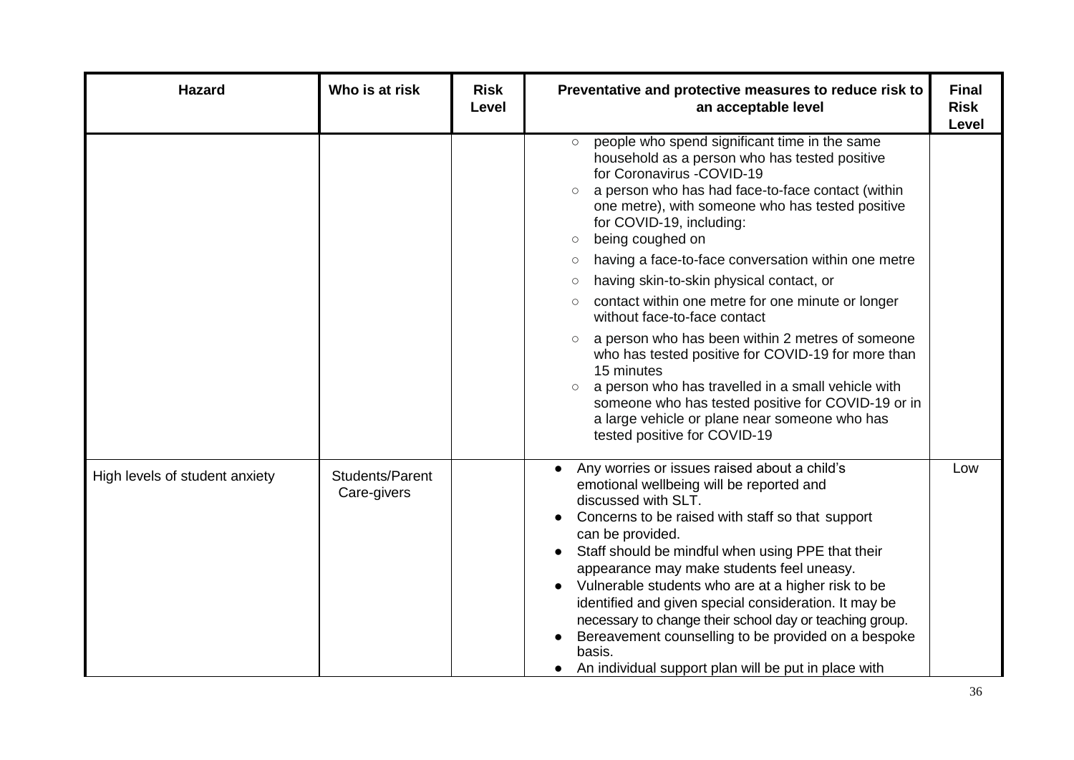| <b>Hazard</b>                  | Who is at risk                 | <b>Risk</b><br>Level | Preventative and protective measures to reduce risk to<br>an acceptable level                                                                                                                                                                                                                                                                                                                                                                                                                                                                                                                                                                                                                                                                                                                                                                                                      | <b>Final</b><br><b>Risk</b><br><b>Level</b> |
|--------------------------------|--------------------------------|----------------------|------------------------------------------------------------------------------------------------------------------------------------------------------------------------------------------------------------------------------------------------------------------------------------------------------------------------------------------------------------------------------------------------------------------------------------------------------------------------------------------------------------------------------------------------------------------------------------------------------------------------------------------------------------------------------------------------------------------------------------------------------------------------------------------------------------------------------------------------------------------------------------|---------------------------------------------|
|                                |                                |                      | people who spend significant time in the same<br>household as a person who has tested positive<br>for Coronavirus -COVID-19<br>a person who has had face-to-face contact (within<br>$\circ$<br>one metre), with someone who has tested positive<br>for COVID-19, including:<br>being coughed on<br>$\circ$<br>having a face-to-face conversation within one metre<br>$\circlearrowright$<br>having skin-to-skin physical contact, or<br>$\circ$<br>contact within one metre for one minute or longer<br>$\circ$<br>without face-to-face contact<br>a person who has been within 2 metres of someone<br>who has tested positive for COVID-19 for more than<br>15 minutes<br>a person who has travelled in a small vehicle with<br>$\bigcirc$<br>someone who has tested positive for COVID-19 or in<br>a large vehicle or plane near someone who has<br>tested positive for COVID-19 |                                             |
| High levels of student anxiety | Students/Parent<br>Care-givers |                      | Any worries or issues raised about a child's<br>emotional wellbeing will be reported and<br>discussed with SLT.<br>Concerns to be raised with staff so that support<br>can be provided.<br>Staff should be mindful when using PPE that their<br>appearance may make students feel uneasy.<br>Vulnerable students who are at a higher risk to be<br>identified and given special consideration. It may be<br>necessary to change their school day or teaching group.<br>Bereavement counselling to be provided on a bespoke<br>basis.<br>An individual support plan will be put in place with                                                                                                                                                                                                                                                                                       | Low                                         |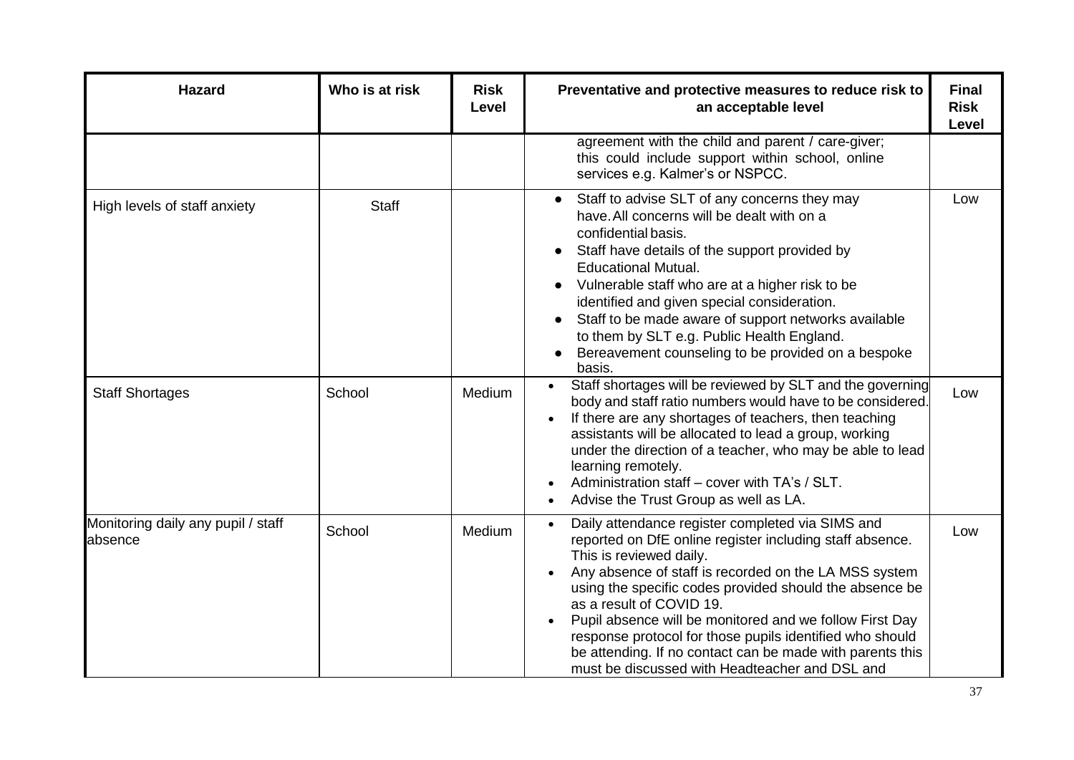| <b>Hazard</b>                                 | Who is at risk | <b>Risk</b><br>Level | Preventative and protective measures to reduce risk to<br>an acceptable level                                                                                                                                                                                                                                                                                                                                                                                                                                                 | <b>Final</b><br><b>Risk</b><br>Level |
|-----------------------------------------------|----------------|----------------------|-------------------------------------------------------------------------------------------------------------------------------------------------------------------------------------------------------------------------------------------------------------------------------------------------------------------------------------------------------------------------------------------------------------------------------------------------------------------------------------------------------------------------------|--------------------------------------|
|                                               |                |                      | agreement with the child and parent / care-giver;<br>this could include support within school, online<br>services e.g. Kalmer's or NSPCC.                                                                                                                                                                                                                                                                                                                                                                                     |                                      |
| High levels of staff anxiety                  | <b>Staff</b>   |                      | Staff to advise SLT of any concerns they may<br>$\bullet$<br>have. All concerns will be dealt with on a<br>confidential basis.<br>Staff have details of the support provided by<br><b>Educational Mutual.</b><br>Vulnerable staff who are at a higher risk to be<br>identified and given special consideration.<br>Staff to be made aware of support networks available<br>to them by SLT e.g. Public Health England.<br>Bereavement counseling to be provided on a bespoke<br>basis.                                         | Low                                  |
| <b>Staff Shortages</b>                        | School         | Medium               | Staff shortages will be reviewed by SLT and the governing<br>body and staff ratio numbers would have to be considered.<br>If there are any shortages of teachers, then teaching<br>assistants will be allocated to lead a group, working<br>under the direction of a teacher, who may be able to lead<br>learning remotely.<br>Administration staff - cover with TA's / SLT.<br>Advise the Trust Group as well as LA.                                                                                                         | Low                                  |
| Monitoring daily any pupil / staff<br>absence | School         | Medium               | Daily attendance register completed via SIMS and<br>reported on DfE online register including staff absence.<br>This is reviewed daily.<br>Any absence of staff is recorded on the LA MSS system<br>using the specific codes provided should the absence be<br>as a result of COVID 19.<br>Pupil absence will be monitored and we follow First Day<br>response protocol for those pupils identified who should<br>be attending. If no contact can be made with parents this<br>must be discussed with Headteacher and DSL and | Low                                  |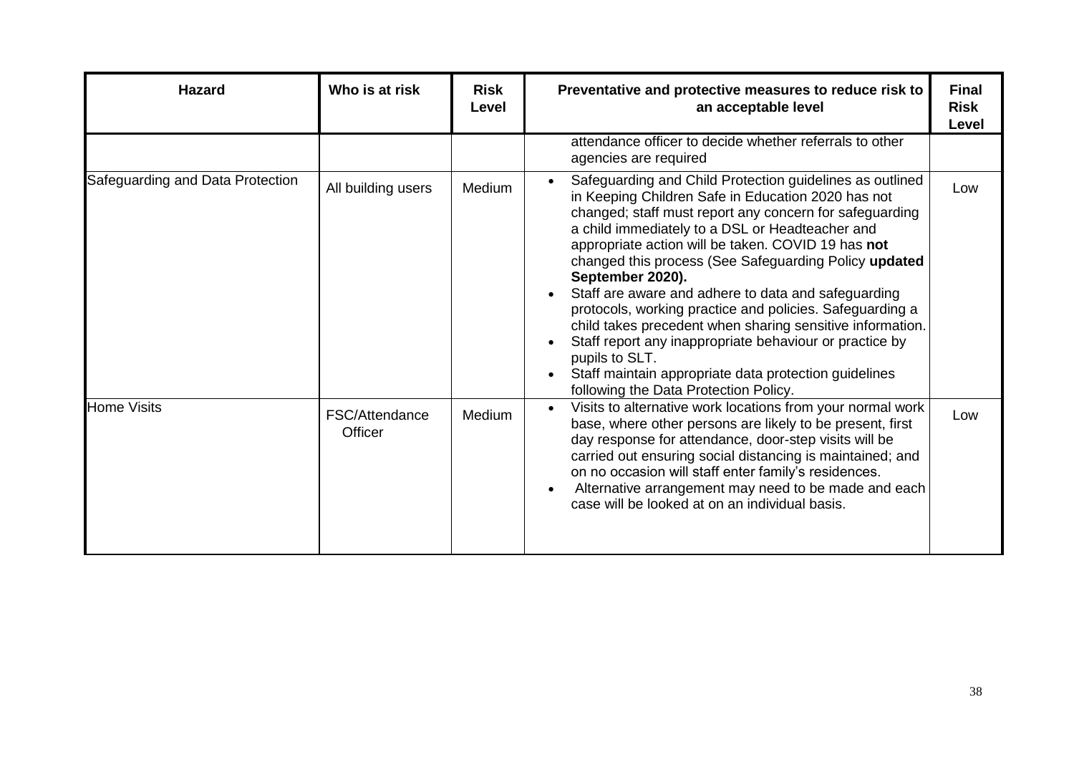| <b>Hazard</b>                    | Who is at risk            | <b>Risk</b><br>Level | Preventative and protective measures to reduce risk to<br>an acceptable level                                                                                                                                                                                                                                                                                                                                                                                                                                                                                                                                                                                                                                                  | <b>Final</b><br><b>Risk</b><br>Level |
|----------------------------------|---------------------------|----------------------|--------------------------------------------------------------------------------------------------------------------------------------------------------------------------------------------------------------------------------------------------------------------------------------------------------------------------------------------------------------------------------------------------------------------------------------------------------------------------------------------------------------------------------------------------------------------------------------------------------------------------------------------------------------------------------------------------------------------------------|--------------------------------------|
|                                  |                           |                      | attendance officer to decide whether referrals to other<br>agencies are required                                                                                                                                                                                                                                                                                                                                                                                                                                                                                                                                                                                                                                               |                                      |
| Safeguarding and Data Protection | All building users        | Medium               | Safeguarding and Child Protection guidelines as outlined<br>in Keeping Children Safe in Education 2020 has not<br>changed; staff must report any concern for safeguarding<br>a child immediately to a DSL or Headteacher and<br>appropriate action will be taken. COVID 19 has not<br>changed this process (See Safeguarding Policy updated<br>September 2020).<br>Staff are aware and adhere to data and safeguarding<br>protocols, working practice and policies. Safeguarding a<br>child takes precedent when sharing sensitive information.<br>Staff report any inappropriate behaviour or practice by<br>pupils to SLT.<br>Staff maintain appropriate data protection guidelines<br>following the Data Protection Policy. | Low                                  |
| <b>Home Visits</b>               | FSC/Attendance<br>Officer | Medium               | Visits to alternative work locations from your normal work<br>base, where other persons are likely to be present, first<br>day response for attendance, door-step visits will be<br>carried out ensuring social distancing is maintained; and<br>on no occasion will staff enter family's residences.<br>Alternative arrangement may need to be made and each<br>case will be looked at on an individual basis.                                                                                                                                                                                                                                                                                                                | Low                                  |